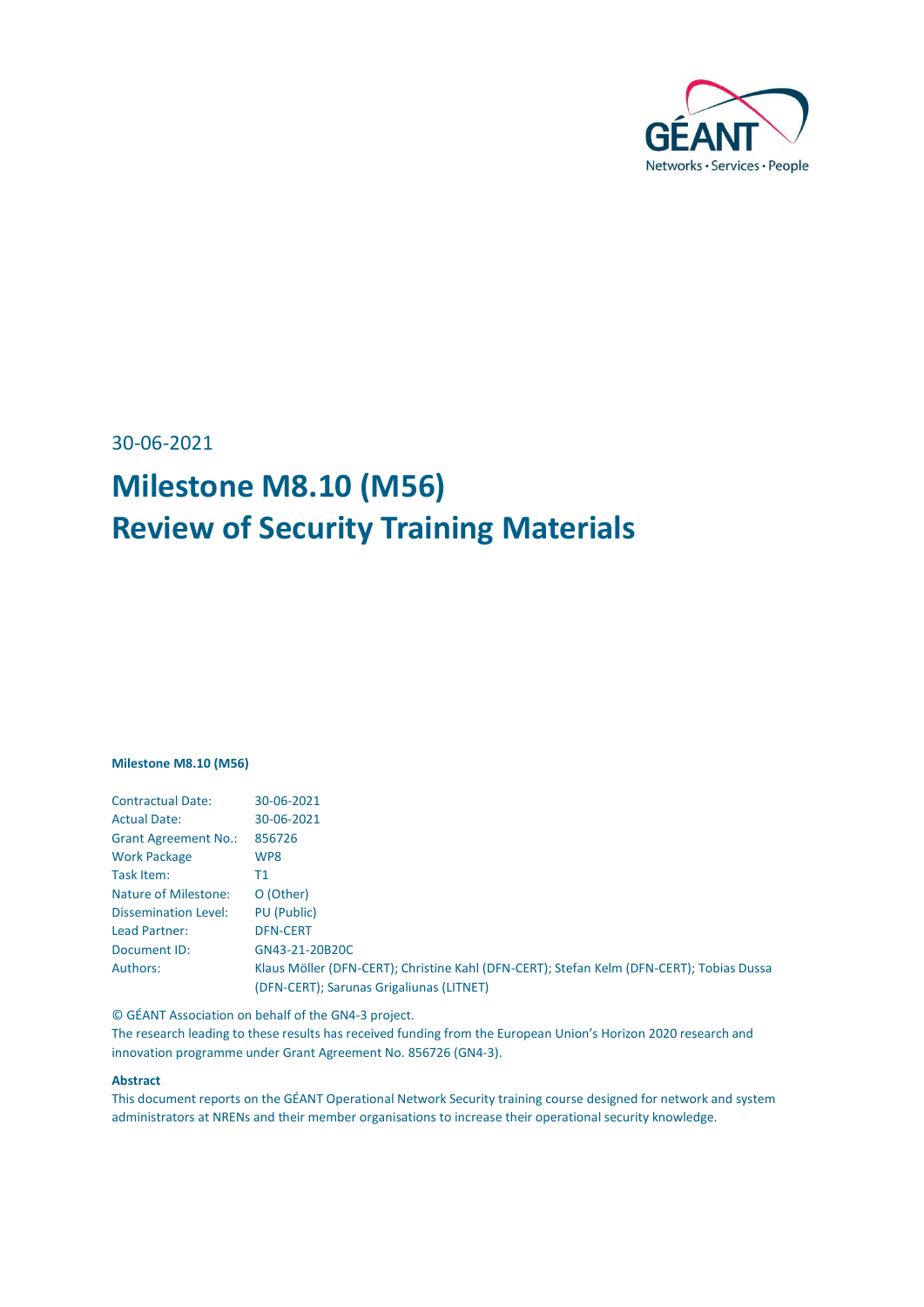

30-06-2021

# **Milestone M8.10 (M56) Review of Security Training Materials**

#### **Milestone M8.10 (M56)**

| <b>Contractual Date:</b>    | 30-06-2021                                                                               |
|-----------------------------|------------------------------------------------------------------------------------------|
| <b>Actual Date:</b>         | 30-06-2021                                                                               |
| <b>Grant Agreement No.:</b> | 856726                                                                                   |
| <b>Work Package</b>         | WP8                                                                                      |
| Task Item:                  | Τ1                                                                                       |
| Nature of Milestone:        | O (Other)                                                                                |
| <b>Dissemination Level:</b> | PU (Public)                                                                              |
| Lead Partner:               | <b>DFN-CERT</b>                                                                          |
| Document ID:                | GN43-21-20B20C                                                                           |
| Authors:                    | Klaus Möller (DFN-CERT); Christine Kahl (DFN-CERT); Stefan Kelm (DFN-CERT); Tobias Dussa |
|                             | (DFN-CERT); Sarunas Grigaliunas (LITNET)                                                 |
|                             |                                                                                          |

© GÉANT Association on behalf of the GN4-3 project.

The research leading to these results has received funding from the European Union's Horizon 2020 research and innovation programme under Grant Agreement No. 856726 (GN4-3).

#### **Abstract**

This document reports on the GÉANT Operational Network Security training course designed for network and system administrators at NRENs and their member organisations to increase their operational security knowledge.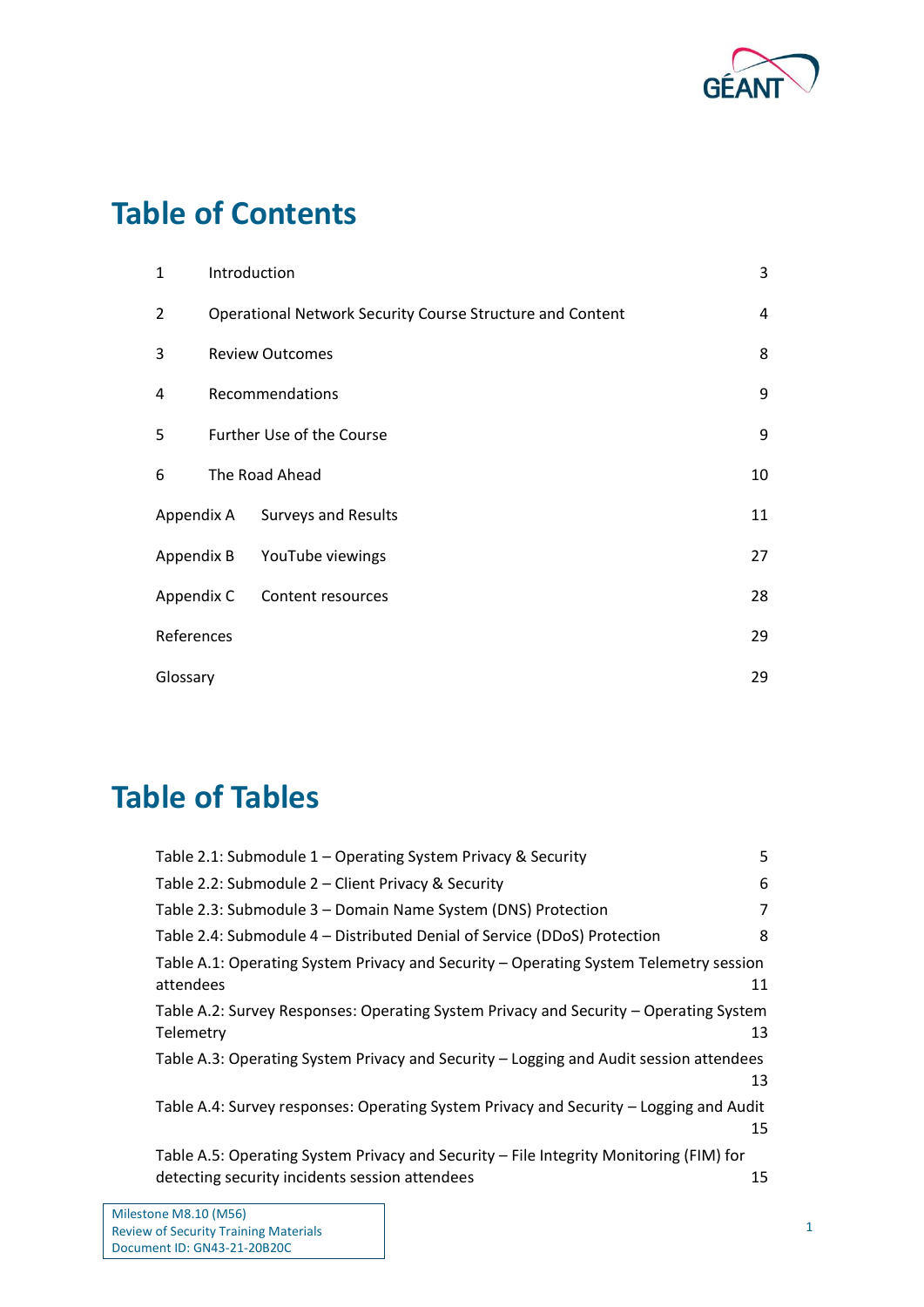

# **Table of Contents**

| 1          |                                                           | Introduction                | 3  |
|------------|-----------------------------------------------------------|-----------------------------|----|
| 2          | Operational Network Security Course Structure and Content |                             | 4  |
| 3          | <b>Review Outcomes</b>                                    |                             | 8  |
| 4          | Recommendations                                           |                             | 9  |
| 5          |                                                           | Further Use of the Course   | 9  |
| 6          |                                                           | The Road Ahead              | 10 |
| Appendix A |                                                           | <b>Surveys and Results</b>  | 11 |
|            |                                                           | Appendix B YouTube viewings | 27 |
| Appendix C |                                                           | Content resources           | 28 |
| References |                                                           |                             | 29 |
| Glossary   |                                                           |                             | 29 |

# **Table of Tables**

| Table 2.1: Submodule 1 - Operating System Privacy & Security                                                                             | 5  |
|------------------------------------------------------------------------------------------------------------------------------------------|----|
| Table 2.2: Submodule 2 - Client Privacy & Security                                                                                       | 6  |
| Table 2.3: Submodule 3 - Domain Name System (DNS) Protection                                                                             | 7  |
| Table 2.4: Submodule 4 – Distributed Denial of Service (DDoS) Protection                                                                 | 8  |
| Table A.1: Operating System Privacy and Security - Operating System Telemetry session<br>attendees                                       | 11 |
| Table A.2: Survey Responses: Operating System Privacy and Security – Operating System<br>Telemetry                                       | 13 |
| Table A.3: Operating System Privacy and Security - Logging and Audit session attendees                                                   | 13 |
| Table A.4: Survey responses: Operating System Privacy and Security - Logging and Audit                                                   | 15 |
| Table A.5: Operating System Privacy and Security - File Integrity Monitoring (FIM) for<br>detecting security incidents session attendees | 15 |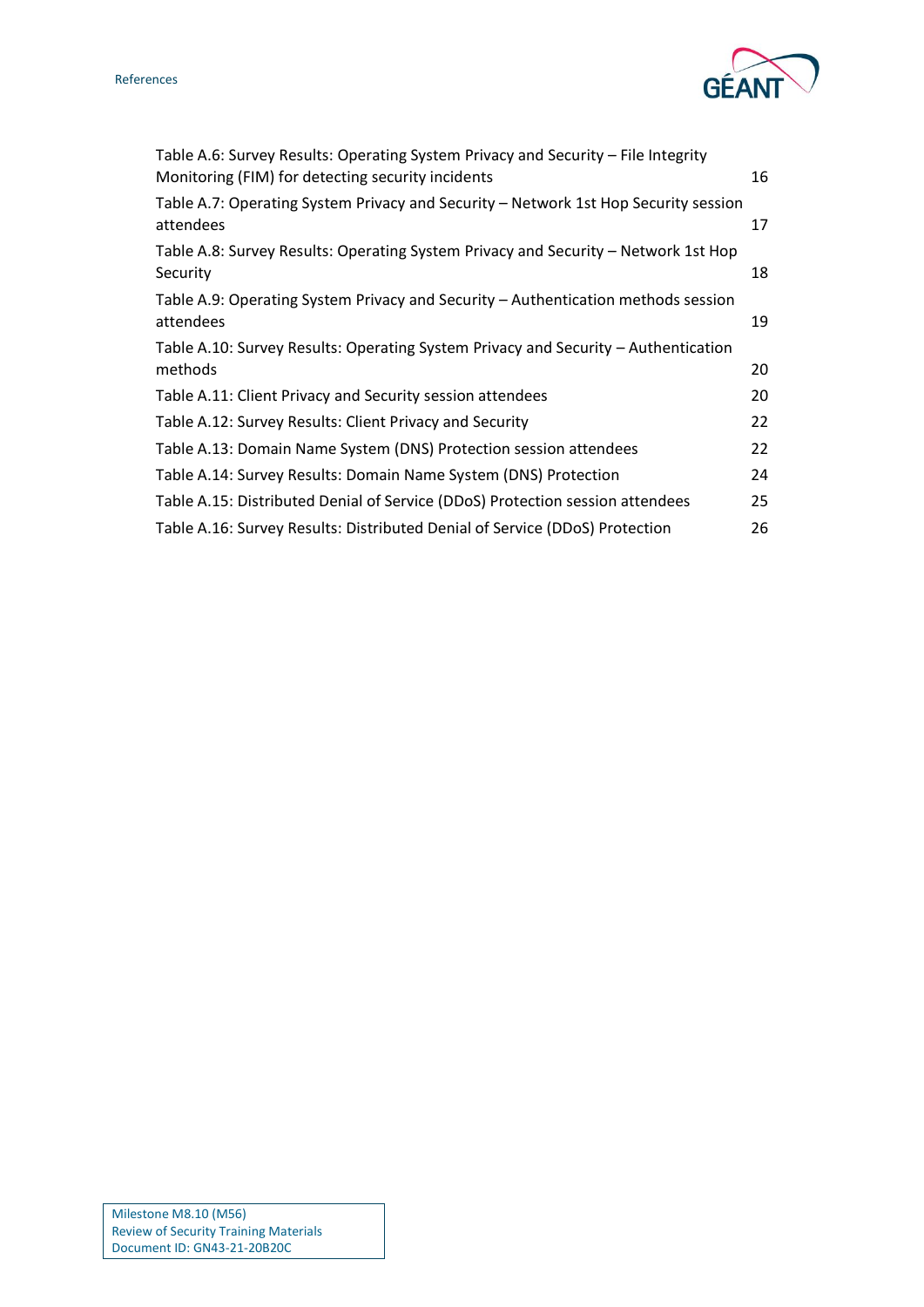



| Table A.6: Survey Results: Operating System Privacy and Security - File Integrity<br>Monitoring (FIM) for detecting security incidents | 16 |
|----------------------------------------------------------------------------------------------------------------------------------------|----|
| Table A.7: Operating System Privacy and Security - Network 1st Hop Security session<br>attendees                                       | 17 |
| Table A.8: Survey Results: Operating System Privacy and Security - Network 1st Hop<br>Security                                         | 18 |
| Table A.9: Operating System Privacy and Security - Authentication methods session<br>attendees                                         | 19 |
| Table A.10: Survey Results: Operating System Privacy and Security - Authentication<br>methods                                          | 20 |
| Table A.11: Client Privacy and Security session attendees                                                                              | 20 |
| Table A.12: Survey Results: Client Privacy and Security                                                                                | 22 |
| Table A.13: Domain Name System (DNS) Protection session attendees                                                                      | 22 |
| Table A.14: Survey Results: Domain Name System (DNS) Protection                                                                        | 24 |
| Table A.15: Distributed Denial of Service (DDoS) Protection session attendees                                                          | 25 |
| Table A.16: Survey Results: Distributed Denial of Service (DDoS) Protection                                                            | 26 |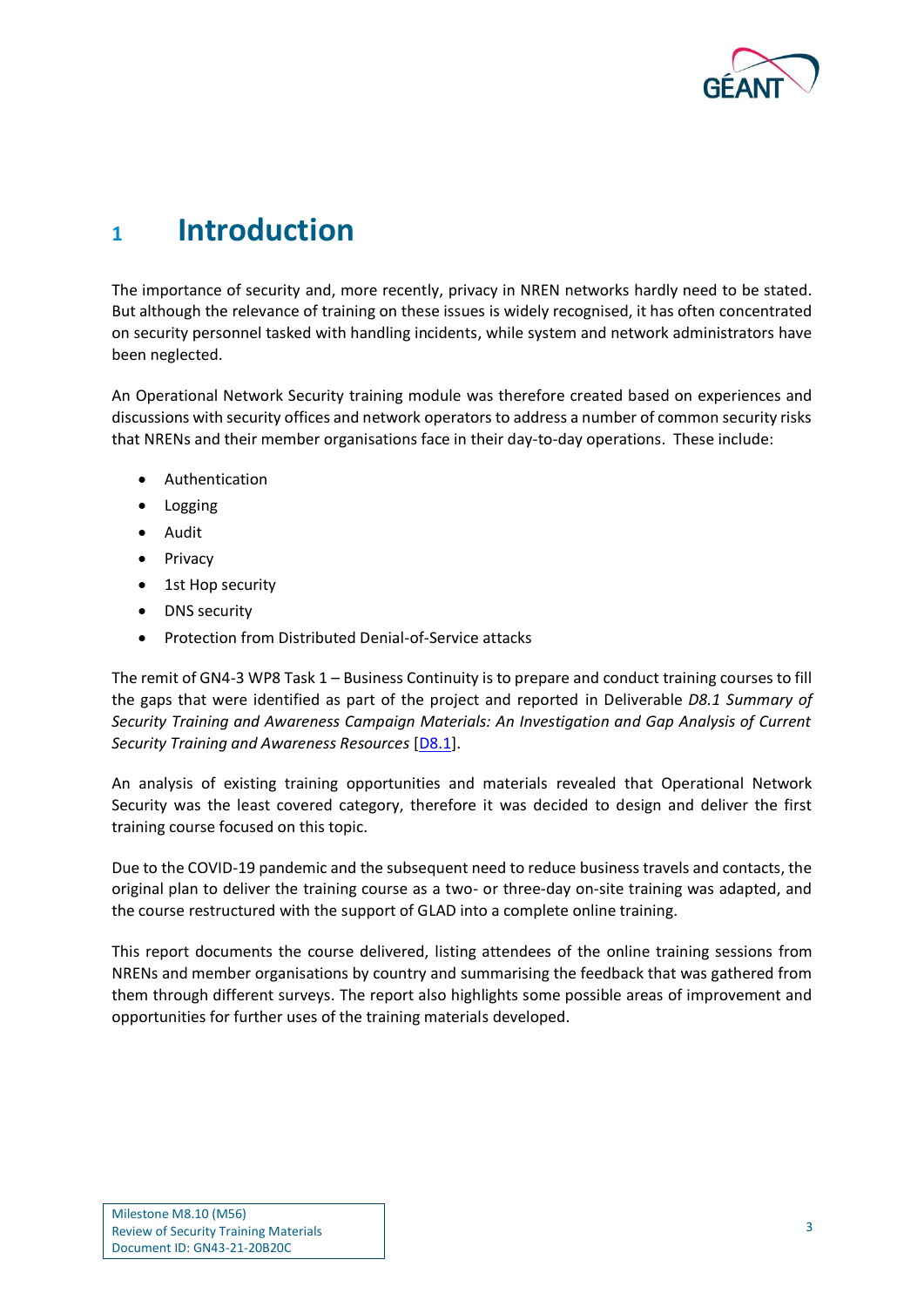

## <span id="page-3-0"></span>**<sup>1</sup> Introduction**

The importance of security and, more recently, privacy in NREN networks hardly need to be stated. But although the relevance of training on these issues is widely recognised, it has often concentrated on security personnel tasked with handling incidents, while system and network administrators have been neglected.

An Operational Network Security training module was therefore created based on experiences and discussions with security offices and network operators to address a number of common security risks that NRENs and their member organisations face in their day-to-day operations. These include:

- Authentication
- Logging
- Audit
- Privacy
- 1st Hop security
- DNS security
- Protection from Distributed Denial-of-Service attacks

The remit of GN4-3 WP8 Task 1 – Business Continuity is to prepare and conduct training courses to fill the gaps that were identified as part of the project and reported in Deliverable *D8.1 Summary of Security Training and Awareness Campaign Materials: An Investigation and Gap Analysis of Current Security Training and Awareness Resources* [\[D8.1\]](#page-29-2).

An analysis of existing training opportunities and materials revealed that Operational Network Security was the least covered category, therefore it was decided to design and deliver the first training course focused on this topic.

Due to the COVID-19 pandemic and the subsequent need to reduce business travels and contacts, the original plan to deliver the training course as a two- or three-day on-site training was adapted, and the course restructured with the support of GLAD into a complete online training.

This report documents the course delivered, listing attendees of the online training sessions from NRENs and member organisations by country and summarising the feedback that was gathered from them through different surveys. The report also highlights some possible areas of improvement and opportunities for further uses of the training materials developed.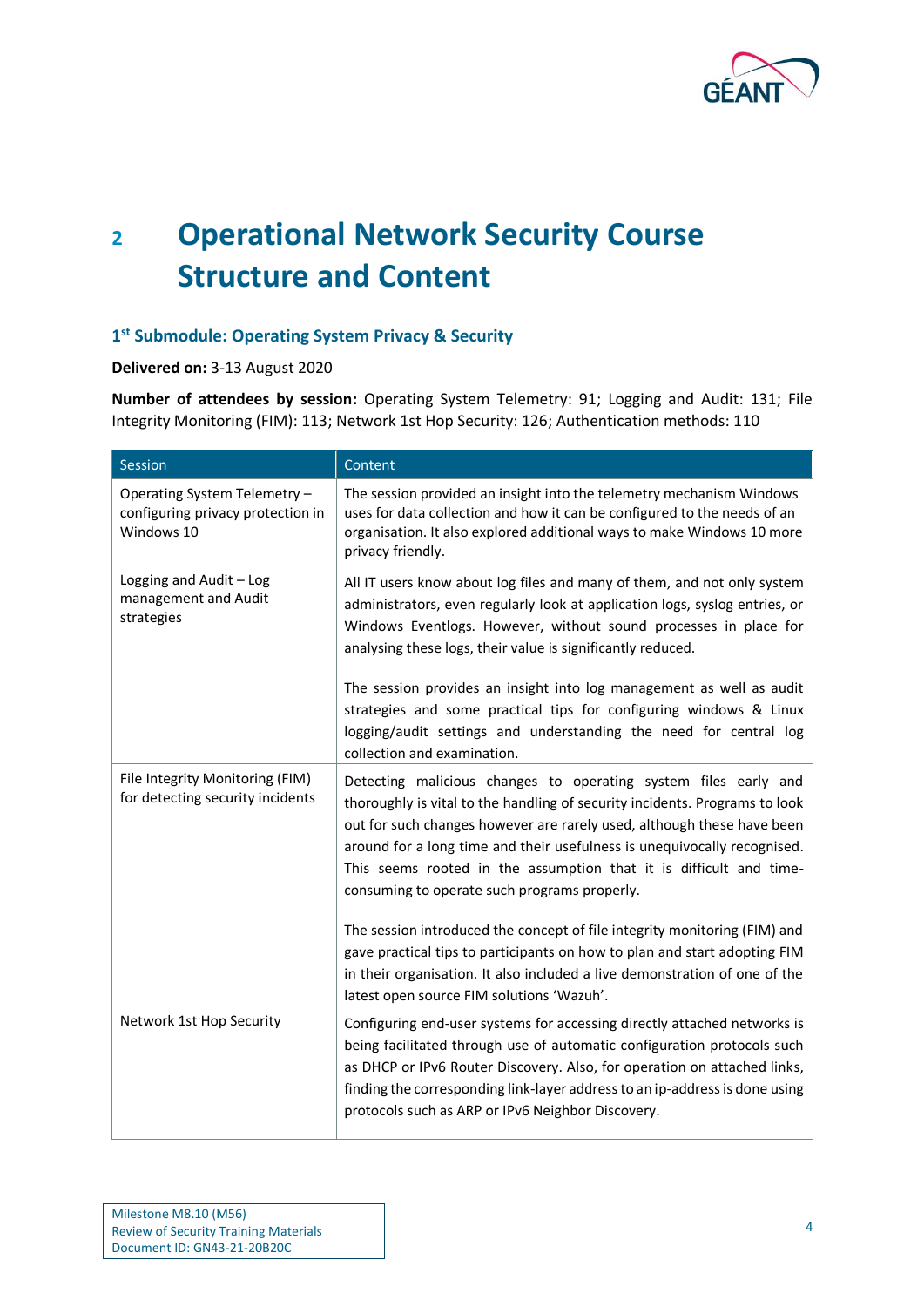

# <span id="page-4-0"></span>**<sup>2</sup> Operational Network Security Course Structure and Content**

## **1 st Submodule: Operating System Privacy & Security**

**Delivered on:** 3-13 August 2020

**Number of attendees by session:** Operating System Telemetry: 91; Logging and Audit: 131; File Integrity Monitoring (FIM): 113; Network 1st Hop Security: 126; Authentication methods: 110

| Session                                                                         | Content                                                                                                                                                                                                                                                                                                                                                                                                                    |
|---------------------------------------------------------------------------------|----------------------------------------------------------------------------------------------------------------------------------------------------------------------------------------------------------------------------------------------------------------------------------------------------------------------------------------------------------------------------------------------------------------------------|
| Operating System Telemetry -<br>configuring privacy protection in<br>Windows 10 | The session provided an insight into the telemetry mechanism Windows<br>uses for data collection and how it can be configured to the needs of an<br>organisation. It also explored additional ways to make Windows 10 more<br>privacy friendly.                                                                                                                                                                            |
| Logging and Audit - Log<br>management and Audit<br>strategies                   | All IT users know about log files and many of them, and not only system<br>administrators, even regularly look at application logs, syslog entries, or<br>Windows Eventlogs. However, without sound processes in place for<br>analysing these logs, their value is significantly reduced.                                                                                                                                  |
|                                                                                 | The session provides an insight into log management as well as audit<br>strategies and some practical tips for configuring windows & Linux<br>logging/audit settings and understanding the need for central log<br>collection and examination.                                                                                                                                                                             |
| File Integrity Monitoring (FIM)<br>for detecting security incidents             | Detecting malicious changes to operating system files early and<br>thoroughly is vital to the handling of security incidents. Programs to look<br>out for such changes however are rarely used, although these have been<br>around for a long time and their usefulness is unequivocally recognised.<br>This seems rooted in the assumption that it is difficult and time-<br>consuming to operate such programs properly. |
|                                                                                 | The session introduced the concept of file integrity monitoring (FIM) and<br>gave practical tips to participants on how to plan and start adopting FIM<br>in their organisation. It also included a live demonstration of one of the<br>latest open source FIM solutions 'Wazuh'.                                                                                                                                          |
| Network 1st Hop Security                                                        | Configuring end-user systems for accessing directly attached networks is<br>being facilitated through use of automatic configuration protocols such<br>as DHCP or IPv6 Router Discovery. Also, for operation on attached links,<br>finding the corresponding link-layer address to an ip-address is done using<br>protocols such as ARP or IPv6 Neighbor Discovery.                                                        |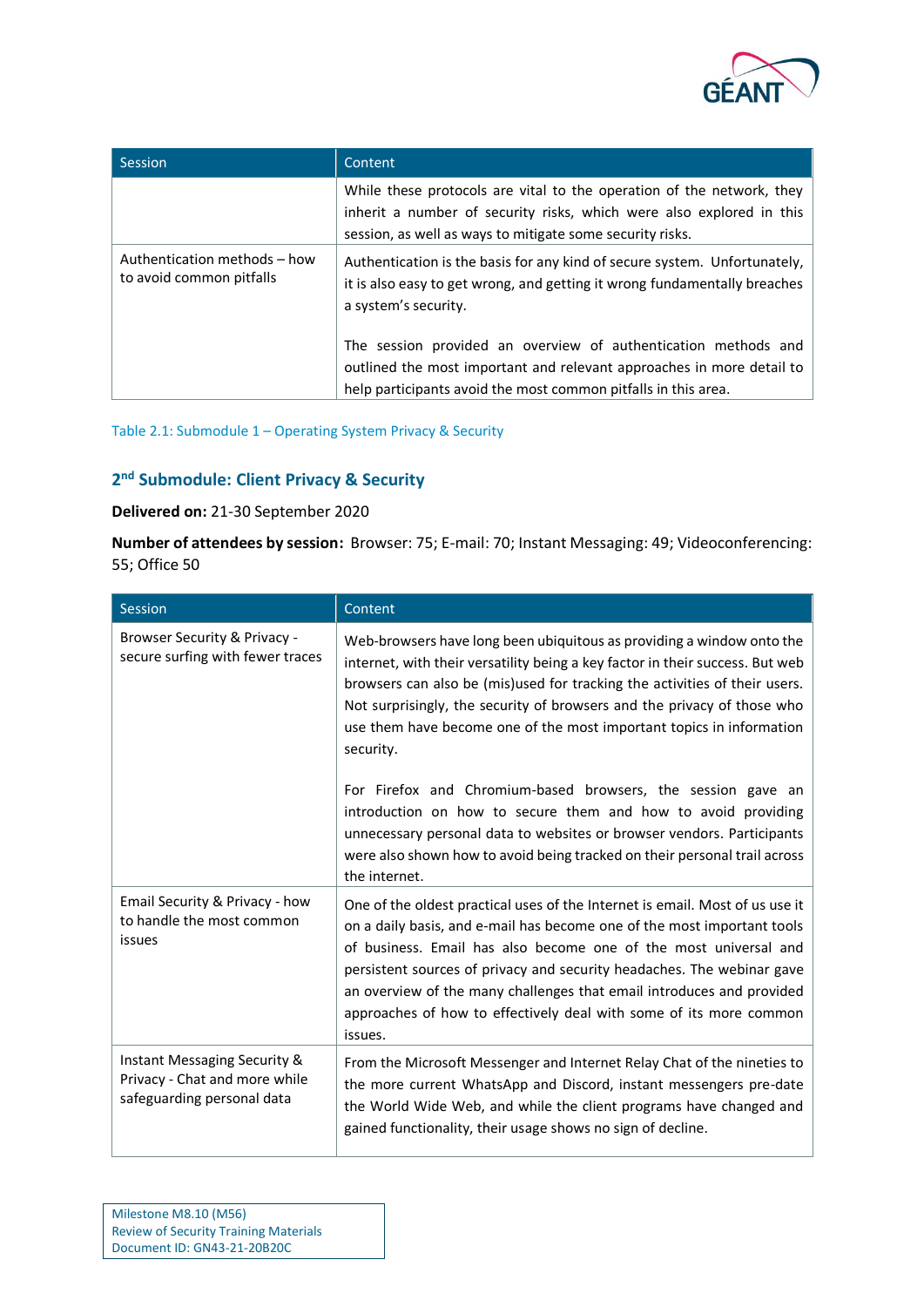

| Session                                                  | Content                                                                                                                                                                                                    |
|----------------------------------------------------------|------------------------------------------------------------------------------------------------------------------------------------------------------------------------------------------------------------|
|                                                          | While these protocols are vital to the operation of the network, they<br>inherit a number of security risks, which were also explored in this<br>session, as well as ways to mitigate some security risks. |
| Authentication methods - how<br>to avoid common pitfalls | Authentication is the basis for any kind of secure system. Unfortunately,<br>it is also easy to get wrong, and getting it wrong fundamentally breaches<br>a system's security.                             |
|                                                          | The session provided an overview of authentication methods and<br>outlined the most important and relevant approaches in more detail to<br>help participants avoid the most common pitfalls in this area.  |

<span id="page-5-0"></span>Table 2.1: Submodule 1 – Operating System Privacy & Security

## **2 nd Submodule: Client Privacy & Security**

## **Delivered on:** 21-30 September 2020

**Number of attendees by session:** Browser: 75; E-mail: 70; Instant Messaging: 49; Videoconferencing: 55; Office 50

| <b>Session</b>                                                                              | Content                                                                                                                                                                                                                                                                                                                                                                                                                                                         |
|---------------------------------------------------------------------------------------------|-----------------------------------------------------------------------------------------------------------------------------------------------------------------------------------------------------------------------------------------------------------------------------------------------------------------------------------------------------------------------------------------------------------------------------------------------------------------|
| Browser Security & Privacy -<br>secure surfing with fewer traces                            | Web-browsers have long been ubiquitous as providing a window onto the<br>internet, with their versatility being a key factor in their success. But web<br>browsers can also be (mis)used for tracking the activities of their users.<br>Not surprisingly, the security of browsers and the privacy of those who<br>use them have become one of the most important topics in information<br>security.                                                            |
|                                                                                             | For Firefox and Chromium-based browsers, the session gave an<br>introduction on how to secure them and how to avoid providing<br>unnecessary personal data to websites or browser vendors. Participants<br>were also shown how to avoid being tracked on their personal trail across<br>the internet.                                                                                                                                                           |
| Email Security & Privacy - how<br>to handle the most common<br>issues                       | One of the oldest practical uses of the Internet is email. Most of us use it<br>on a daily basis, and e-mail has become one of the most important tools<br>of business. Email has also become one of the most universal and<br>persistent sources of privacy and security headaches. The webinar gave<br>an overview of the many challenges that email introduces and provided<br>approaches of how to effectively deal with some of its more common<br>issues. |
| Instant Messaging Security &<br>Privacy - Chat and more while<br>safeguarding personal data | From the Microsoft Messenger and Internet Relay Chat of the nineties to<br>the more current WhatsApp and Discord, instant messengers pre-date<br>the World Wide Web, and while the client programs have changed and<br>gained functionality, their usage shows no sign of decline.                                                                                                                                                                              |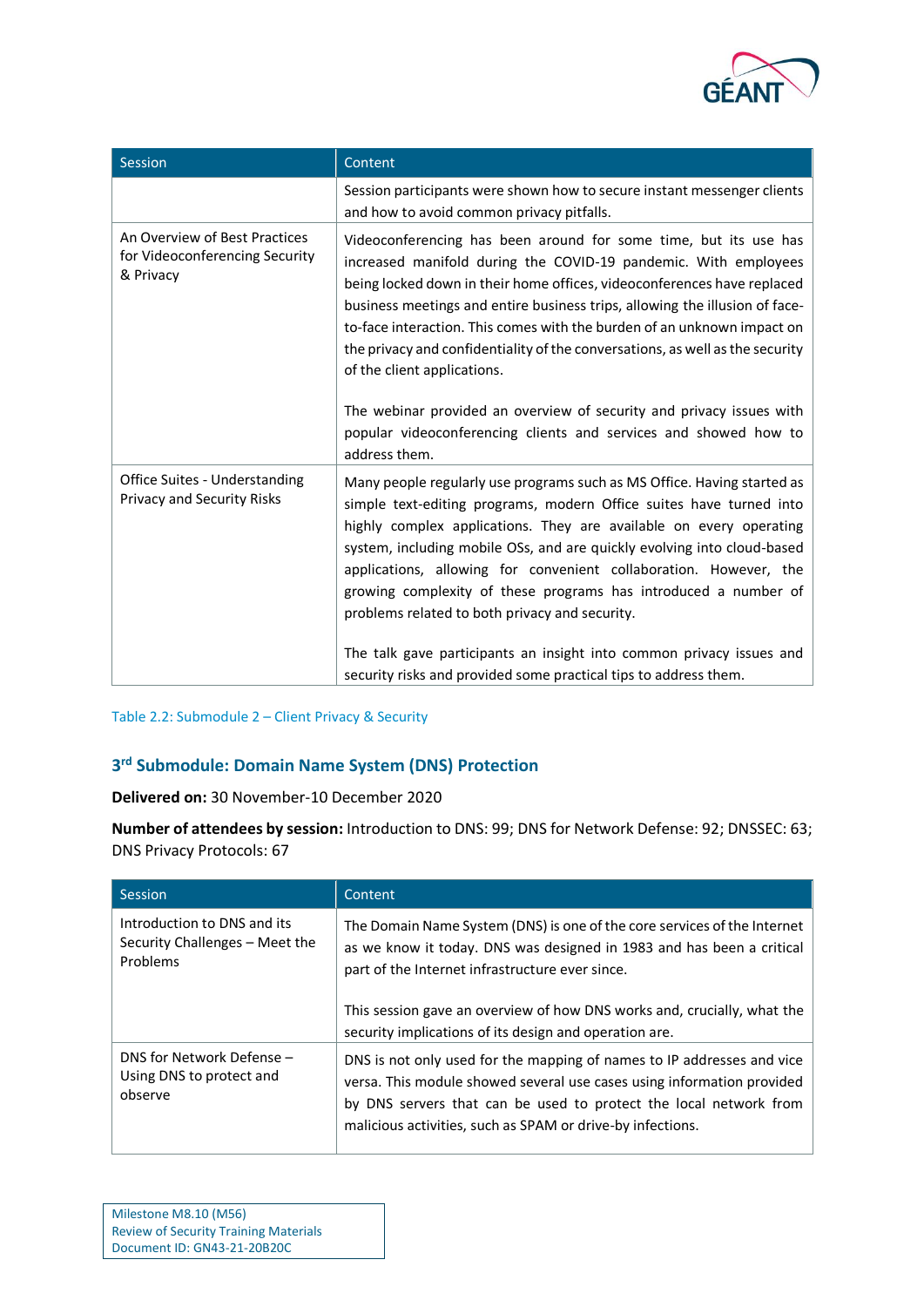

| Session                                                                      | Content                                                                                                                                                                                                                                                                                                                                                                                                                                                                                                                                                                                                                                               |
|------------------------------------------------------------------------------|-------------------------------------------------------------------------------------------------------------------------------------------------------------------------------------------------------------------------------------------------------------------------------------------------------------------------------------------------------------------------------------------------------------------------------------------------------------------------------------------------------------------------------------------------------------------------------------------------------------------------------------------------------|
|                                                                              | Session participants were shown how to secure instant messenger clients<br>and how to avoid common privacy pitfalls.                                                                                                                                                                                                                                                                                                                                                                                                                                                                                                                                  |
| An Overview of Best Practices<br>for Videoconferencing Security<br>& Privacy | Videoconferencing has been around for some time, but its use has<br>increased manifold during the COVID-19 pandemic. With employees<br>being locked down in their home offices, videoconferences have replaced<br>business meetings and entire business trips, allowing the illusion of face-<br>to-face interaction. This comes with the burden of an unknown impact on<br>the privacy and confidentiality of the conversations, as well as the security<br>of the client applications.<br>The webinar provided an overview of security and privacy issues with<br>popular videoconferencing clients and services and showed how to<br>address them. |
| Office Suites - Understanding<br><b>Privacy and Security Risks</b>           | Many people regularly use programs such as MS Office. Having started as<br>simple text-editing programs, modern Office suites have turned into<br>highly complex applications. They are available on every operating<br>system, including mobile OSs, and are quickly evolving into cloud-based<br>applications, allowing for convenient collaboration. However, the<br>growing complexity of these programs has introduced a number of<br>problems related to both privacy and security.<br>The talk gave participants an insight into common privacy issues and<br>security risks and provided some practical tips to address them.                 |

#### <span id="page-6-0"></span>Table 2.2: Submodule 2 – Client Privacy & Security

## **3 rd Submodule: Domain Name System (DNS) Protection**

**Delivered on:** 30 November-10 December 2020

**Number of attendees by session:** Introduction to DNS: 99; DNS for Network Defense: 92; DNSSEC: 63; DNS Privacy Protocols: 67

| <b>Session</b>                                                            | Content                                                                                                                                                                                                                                                                                                                                   |
|---------------------------------------------------------------------------|-------------------------------------------------------------------------------------------------------------------------------------------------------------------------------------------------------------------------------------------------------------------------------------------------------------------------------------------|
| Introduction to DNS and its<br>Security Challenges - Meet the<br>Problems | The Domain Name System (DNS) is one of the core services of the Internet<br>as we know it today. DNS was designed in 1983 and has been a critical<br>part of the Internet infrastructure ever since.<br>This session gave an overview of how DNS works and, crucially, what the<br>security implications of its design and operation are. |
| DNS for Network Defense -<br>Using DNS to protect and<br>observe          | DNS is not only used for the mapping of names to IP addresses and vice<br>versa. This module showed several use cases using information provided<br>by DNS servers that can be used to protect the local network from<br>malicious activities, such as SPAM or drive-by infections.                                                       |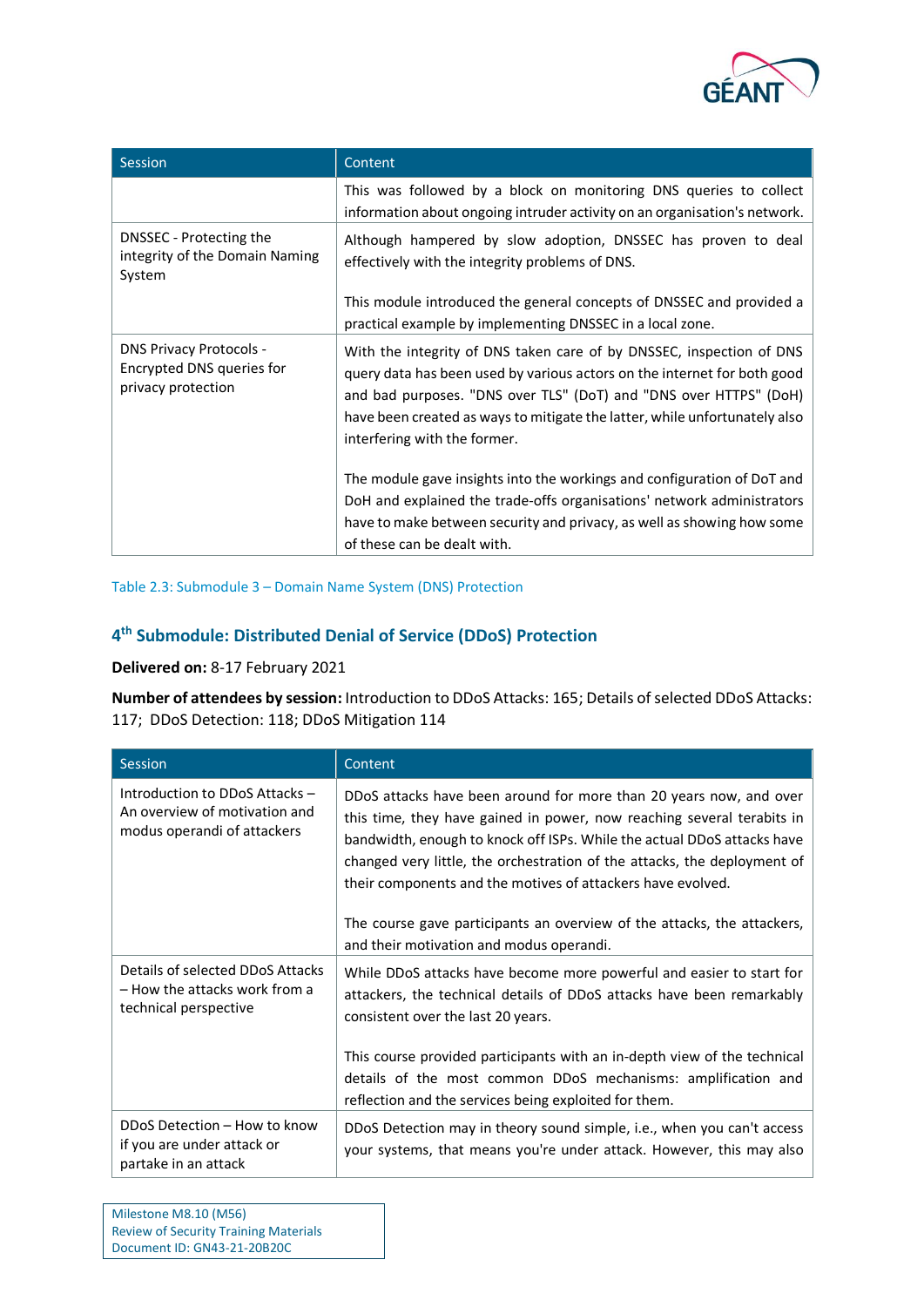

| Session                                                                           | Content                                                                                                                                                                                                                                                                                                                             |
|-----------------------------------------------------------------------------------|-------------------------------------------------------------------------------------------------------------------------------------------------------------------------------------------------------------------------------------------------------------------------------------------------------------------------------------|
|                                                                                   | This was followed by a block on monitoring DNS queries to collect<br>information about ongoing intruder activity on an organisation's network.                                                                                                                                                                                      |
| DNSSEC - Protecting the<br>integrity of the Domain Naming<br>System               | Although hampered by slow adoption, DNSSEC has proven to deal<br>effectively with the integrity problems of DNS.                                                                                                                                                                                                                    |
|                                                                                   | This module introduced the general concepts of DNSSEC and provided a<br>practical example by implementing DNSSEC in a local zone.                                                                                                                                                                                                   |
| <b>DNS Privacy Protocols -</b><br>Encrypted DNS queries for<br>privacy protection | With the integrity of DNS taken care of by DNSSEC, inspection of DNS<br>query data has been used by various actors on the internet for both good<br>and bad purposes. "DNS over TLS" (DoT) and "DNS over HTTPS" (DoH)<br>have been created as ways to mitigate the latter, while unfortunately also<br>interfering with the former. |
|                                                                                   | The module gave insights into the workings and configuration of DoT and<br>DoH and explained the trade-offs organisations' network administrators<br>have to make between security and privacy, as well as showing how some<br>of these can be dealt with.                                                                          |

#### <span id="page-7-0"></span>Table 2.3: Submodule 3 – Domain Name System (DNS) Protection

## **4 th Submodule: Distributed Denial of Service (DDoS) Protection**

## **Delivered on:** 8-17 February 2021

**Number of attendees by session:** Introduction to DDoS Attacks: 165; Details of selected DDoS Attacks: 117; DDoS Detection: 118; DDoS Mitigation 114

| Session                                                                                        | Content                                                                                                                                                                                                                                                                                                                                                                                                                                                                                   |
|------------------------------------------------------------------------------------------------|-------------------------------------------------------------------------------------------------------------------------------------------------------------------------------------------------------------------------------------------------------------------------------------------------------------------------------------------------------------------------------------------------------------------------------------------------------------------------------------------|
| Introduction to DDoS Attacks -<br>An overview of motivation and<br>modus operandi of attackers | DDoS attacks have been around for more than 20 years now, and over<br>this time, they have gained in power, now reaching several terabits in<br>bandwidth, enough to knock off ISPs. While the actual DDoS attacks have<br>changed very little, the orchestration of the attacks, the deployment of<br>their components and the motives of attackers have evolved.<br>The course gave participants an overview of the attacks, the attackers,<br>and their motivation and modus operandi. |
| Details of selected DDoS Attacks<br>– How the attacks work from a<br>technical perspective     | While DDoS attacks have become more powerful and easier to start for<br>attackers, the technical details of DDoS attacks have been remarkably<br>consistent over the last 20 years.<br>This course provided participants with an in-depth view of the technical<br>details of the most common DDoS mechanisms: amplification and<br>reflection and the services being exploited for them.                                                                                                 |
| DDoS Detection - How to know<br>if you are under attack or<br>partake in an attack             | DDoS Detection may in theory sound simple, i.e., when you can't access<br>your systems, that means you're under attack. However, this may also                                                                                                                                                                                                                                                                                                                                            |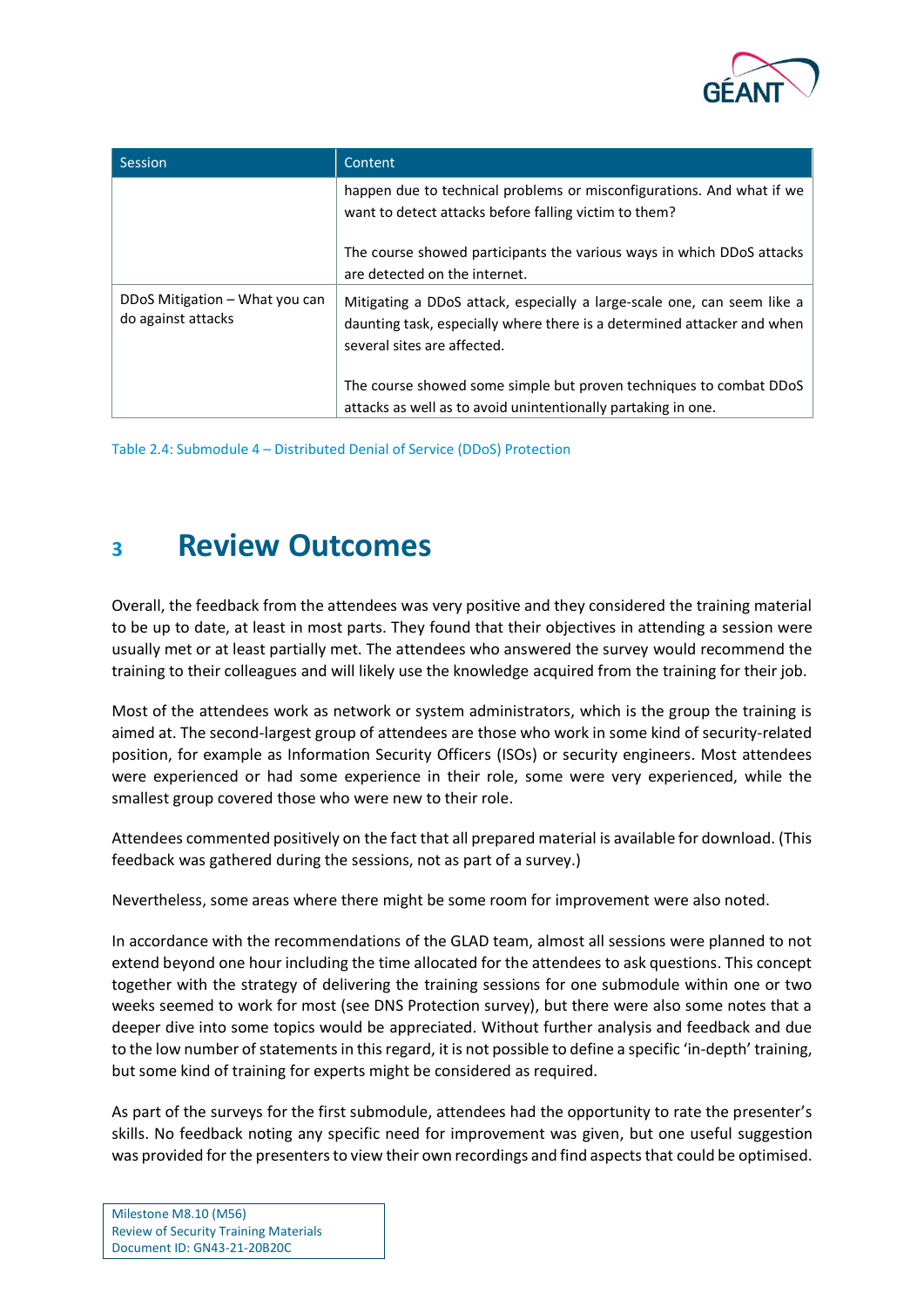

| Session                                              | Content                                                                                                                                                                           |
|------------------------------------------------------|-----------------------------------------------------------------------------------------------------------------------------------------------------------------------------------|
|                                                      | happen due to technical problems or misconfigurations. And what if we<br>want to detect attacks before falling victim to them?                                                    |
|                                                      | The course showed participants the various ways in which DDoS attacks<br>are detected on the internet.                                                                            |
| DDoS Mitigation – What you can<br>do against attacks | Mitigating a DDoS attack, especially a large-scale one, can seem like a<br>daunting task, especially where there is a determined attacker and when<br>several sites are affected. |
|                                                      | The course showed some simple but proven techniques to combat DDoS<br>attacks as well as to avoid unintentionally partaking in one.                                               |

<span id="page-8-1"></span>Table 2.4: Submodule 4 – Distributed Denial of Service (DDoS) Protection

## <span id="page-8-0"></span>**<sup>3</sup> Review Outcomes**

Overall, the feedback from the attendees was very positive and they considered the training material to be up to date, at least in most parts. They found that their objectives in attending a session were usually met or at least partially met. The attendees who answered the survey would recommend the training to their colleagues and will likely use the knowledge acquired from the training for their job.

Most of the attendees work as network or system administrators, which is the group the training is aimed at. The second-largest group of attendees are those who work in some kind of security-related position, for example as Information Security Officers (ISOs) or security engineers. Most attendees were experienced or had some experience in their role, some were very experienced, while the smallest group covered those who were new to their role.

Attendees commented positively on the fact that all prepared material is available for download. (This feedback was gathered during the sessions, not as part of a survey.)

Nevertheless, some areas where there might be some room for improvement were also noted.

In accordance with the recommendations of the GLAD team, almost all sessions were planned to not extend beyond one hour including the time allocated for the attendees to ask questions. This concept together with the strategy of delivering the training sessions for one submodule within one or two weeks seemed to work for most (see DNS Protection survey), but there were also some notes that a deeper dive into some topics would be appreciated. Without further analysis and feedback and due to the low number of statements in this regard, it is not possible to define a specific 'in-depth' training, but some kind of training for experts might be considered as required.

As part of the surveys for the first submodule, attendees had the opportunity to rate the presenter's skills. No feedback noting any specific need for improvement was given, but one useful suggestion was provided for the presenters to view their own recordings and find aspects that could be optimised.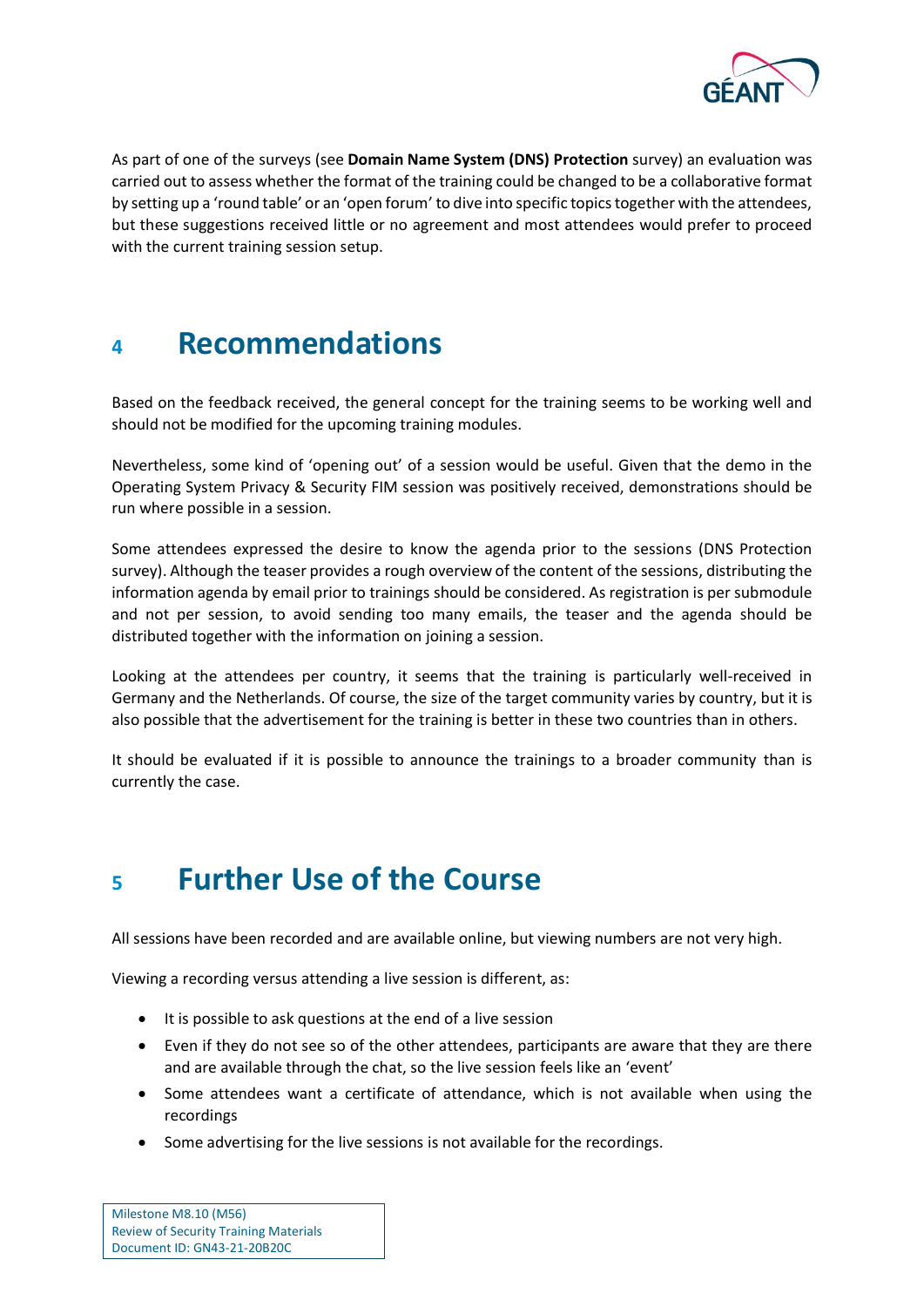

As part of one of the surveys (see **[Domain Name System \(DNS\) Protection](#page-22-2)** survey) an evaluation was carried out to assess whether the format of the training could be changed to be a collaborative format by setting up a 'round table' or an 'open forum' to dive into specific topics together with the attendees, but these suggestions received little or no agreement and most attendees would prefer to proceed with the current training session setup.

## <span id="page-9-0"></span>**<sup>4</sup> Recommendations**

Based on the feedback received, the general concept for the training seems to be working well and should not be modified for the upcoming training modules.

Nevertheless, some kind of 'opening out' of a session would be useful. Given that the demo in the Operating System Privacy & Security FIM session was positively received, demonstrations should be run where possible in a session.

Some attendees expressed the desire to know the agenda prior to the sessions (DNS Protection survey). Although the teaser provides a rough overview of the content of the sessions, distributing the information agenda by email prior to trainings should be considered. As registration is per submodule and not per session, to avoid sending too many emails, the teaser and the agenda should be distributed together with the information on joining a session.

Looking at the attendees per country, it seems that the training is particularly well-received in Germany and the Netherlands. Of course, the size of the target community varies by country, but it is also possible that the advertisement for the training is better in these two countries than in others.

It should be evaluated if it is possible to announce the trainings to a broader community than is currently the case.

## <span id="page-9-1"></span>**<sup>5</sup> Further Use of the Course**

All sessions have been recorded and are available online, but viewing numbers are not very high.

Viewing a recording versus attending a live session is different, as:

- It is possible to ask questions at the end of a live session
- Even if they do not see so of the other attendees, participants are aware that they are there and are available through the chat, so the live session feels like an 'event'
- Some attendees want a certificate of attendance, which is not available when using the recordings
- Some advertising for the live sessions is not available for the recordings.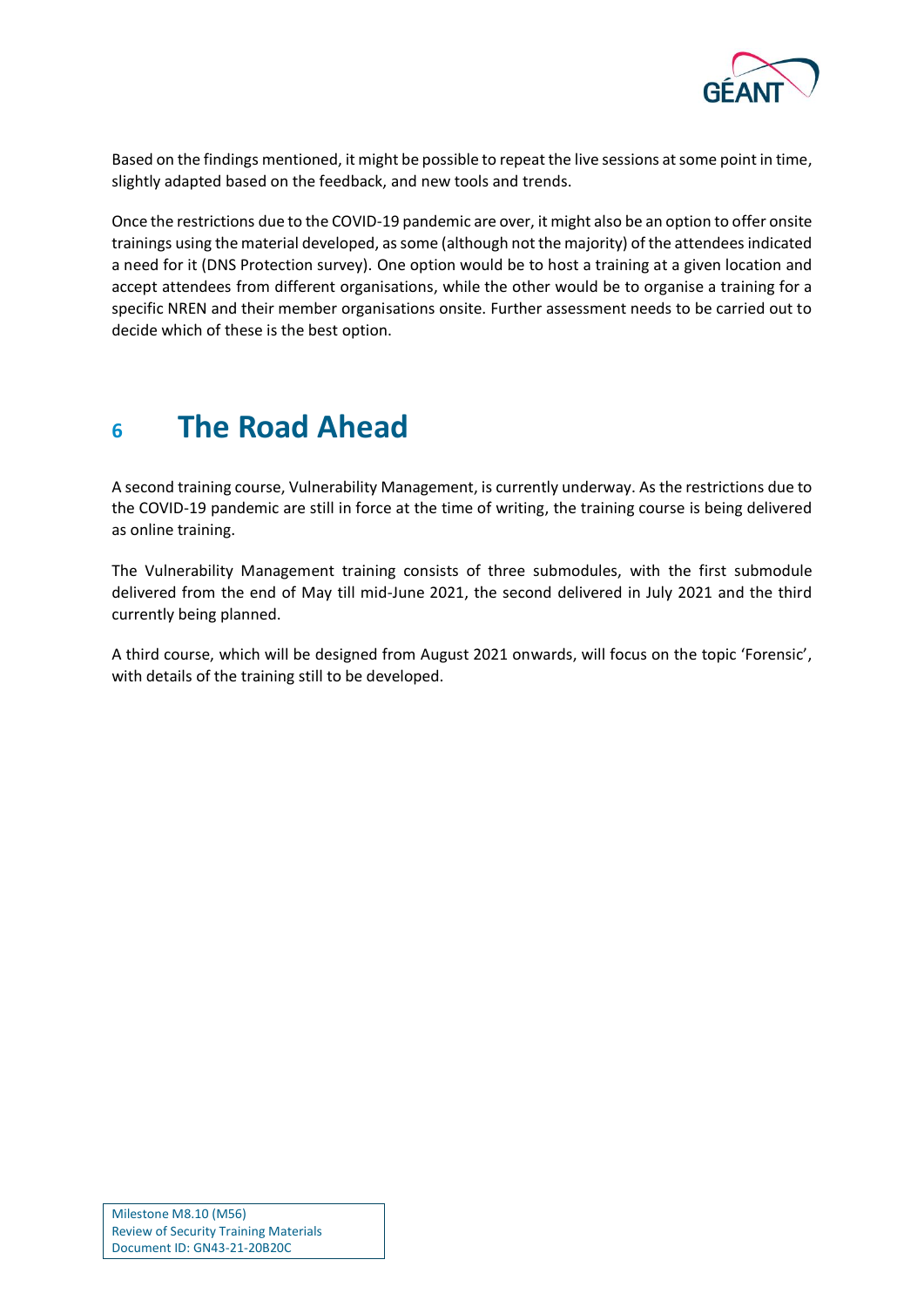

Based on the findings mentioned, it might be possible to repeat the live sessions at some point in time, slightly adapted based on the feedback, and new tools and trends.

Once the restrictions due to the COVID-19 pandemic are over, it might also be an option to offer onsite trainings using the material developed, as some (although not the majority) of the attendees indicated a need for it (DNS Protection survey). One option would be to host a training at a given location and accept attendees from different organisations, while the other would be to organise a training for a specific NREN and their member organisations onsite. Further assessment needs to be carried out to decide which of these is the best option.

## <span id="page-10-0"></span>**<sup>6</sup> The Road Ahead**

A second training course, Vulnerability Management, is currently underway. As the restrictions due to the COVID-19 pandemic are still in force at the time of writing, the training course is being delivered as online training.

The Vulnerability Management training consists of three submodules, with the first submodule delivered from the end of May till mid-June 2021, the second delivered in July 2021 and the third currently being planned.

A third course, which will be designed from August 2021 onwards, will focus on the topic 'Forensic', with details of the training still to be developed.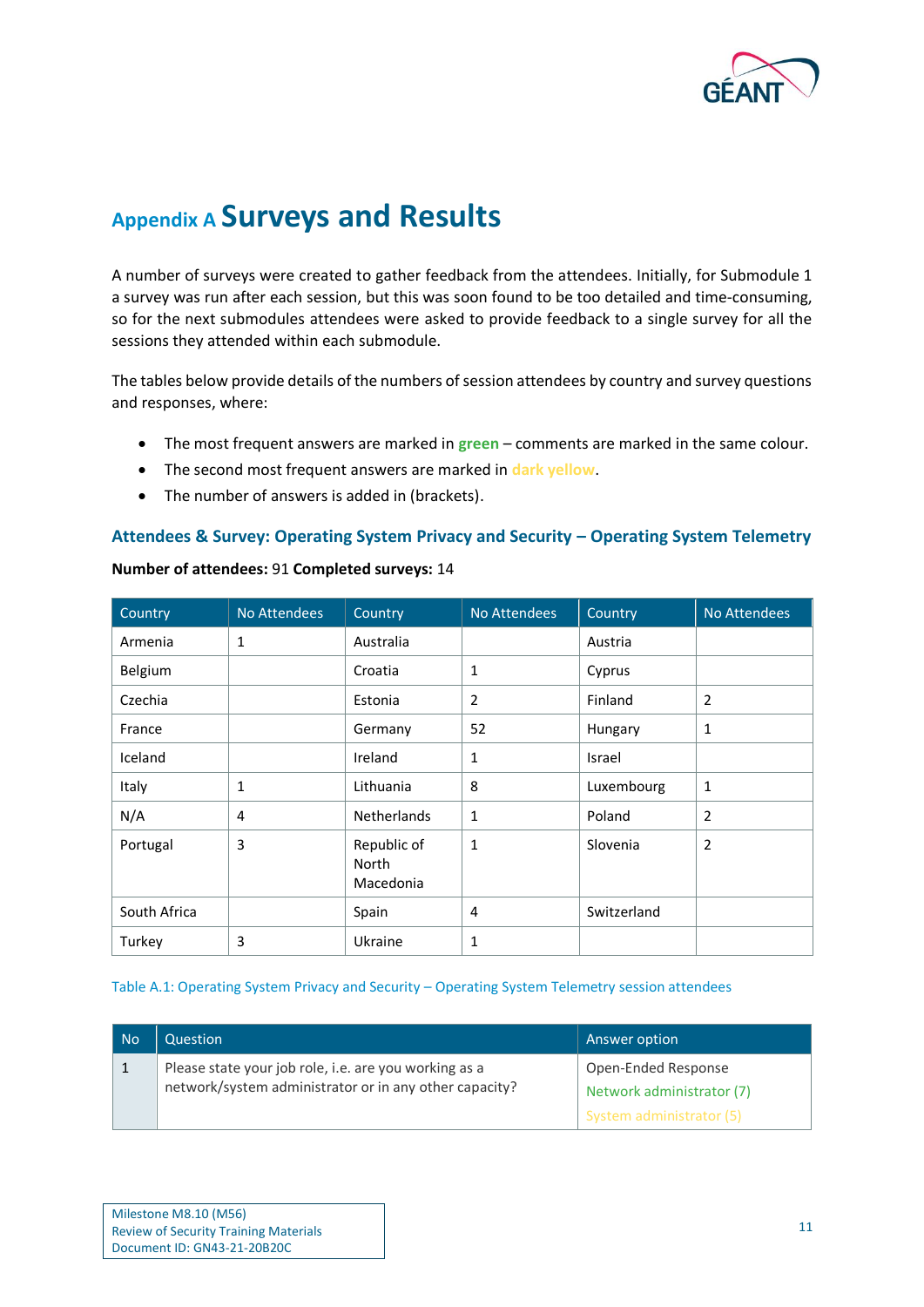

## <span id="page-11-0"></span>**Appendix A Surveys and Results**

A number of surveys were created to gather feedback from the attendees. Initially, for Submodule 1 a survey was run after each session, but this was soon found to be too detailed and time-consuming, so for the next submodules attendees were asked to provide feedback to a single survey for all the sessions they attended within each submodule.

The tables below provide details of the numbers of session attendees by country and survey questions and responses, where:

- The most frequent answers are marked in **green** comments are marked in the same colour.
- The second most frequent answers are marked in **dark yellow**.
- The number of answers is added in (brackets).

### **Attendees & Survey: Operating System Privacy and Security – Operating System Telemetry**

| Country      | <b>No Attendees</b> | Country                           | No Attendees | Country     | No Attendees   |
|--------------|---------------------|-----------------------------------|--------------|-------------|----------------|
| Armenia      | 1                   | Australia                         |              | Austria     |                |
| Belgium      |                     | Croatia                           | 1            | Cyprus      |                |
| Czechia      |                     | Estonia                           | 2            | Finland     | $\overline{2}$ |
| France       |                     | Germany                           | 52           | Hungary     | $\mathbf{1}$   |
| Iceland      |                     | Ireland                           | $\mathbf{1}$ | Israel      |                |
| Italy        | 1                   | Lithuania                         | 8            | Luxembourg  | $\mathbf{1}$   |
| N/A          | 4                   | <b>Netherlands</b>                | 1            | Poland      | $\overline{2}$ |
| Portugal     | 3                   | Republic of<br>North<br>Macedonia | 1            | Slovenia    | $\overline{2}$ |
| South Africa |                     | Spain                             | 4            | Switzerland |                |
| Turkey       | 3                   | Ukraine                           | 1            |             |                |

**Number of attendees:** 91 **Completed surveys:** 14

### <span id="page-11-1"></span>Table A.1: Operating System Privacy and Security – Operating System Telemetry session attendees

| No | Question                                                                                                        | Answer option                                    |
|----|-----------------------------------------------------------------------------------------------------------------|--------------------------------------------------|
|    | Please state your job role, i.e. are you working as a<br>network/system administrator or in any other capacity? | Open-Ended Response<br>Network administrator (7) |
|    |                                                                                                                 | System administrator (5)                         |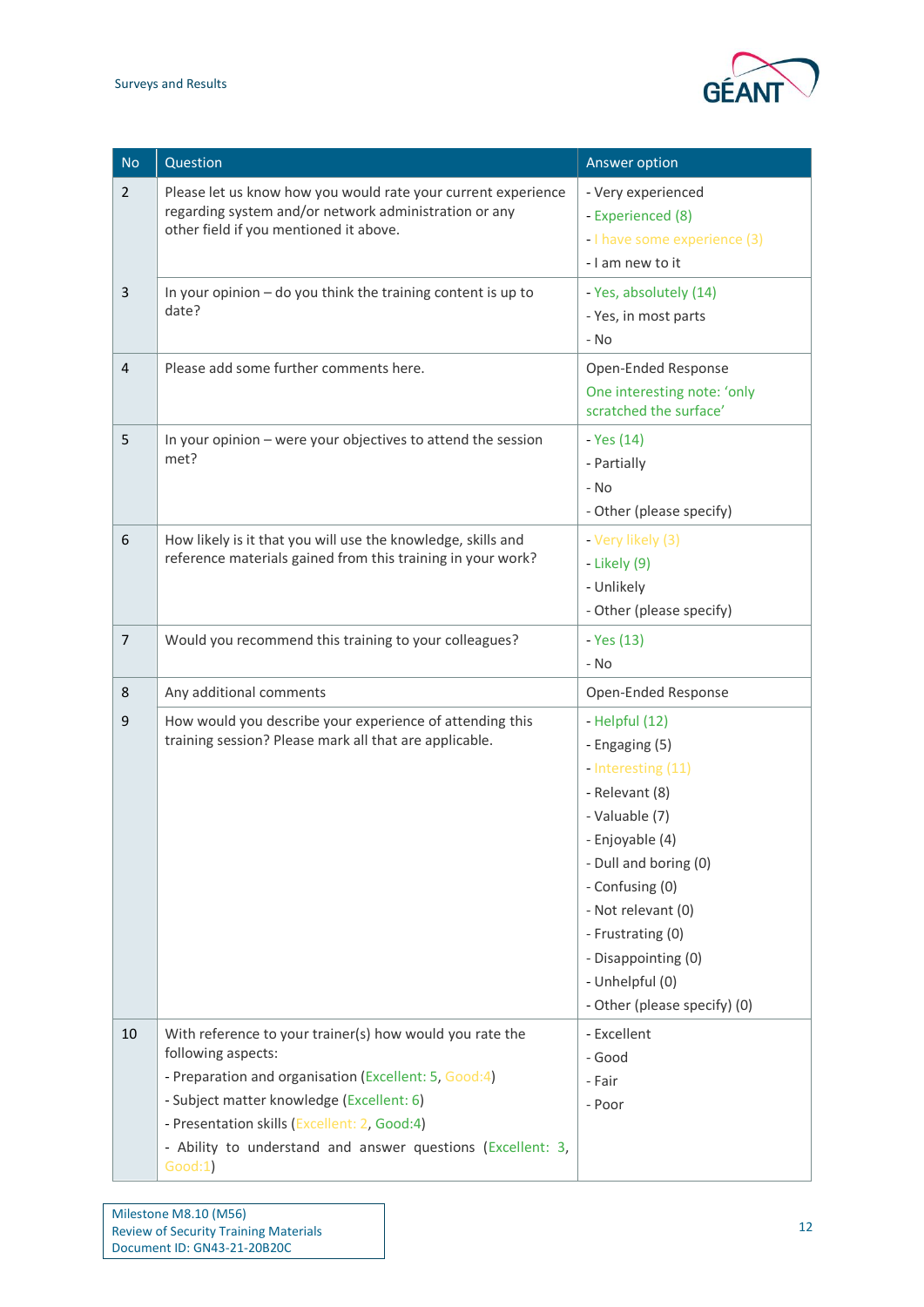

| <b>No</b>      | Question                                                                                                                                                                                                                                                                                                       | Answer option                                                                                                                                                                                                                                                                  |
|----------------|----------------------------------------------------------------------------------------------------------------------------------------------------------------------------------------------------------------------------------------------------------------------------------------------------------------|--------------------------------------------------------------------------------------------------------------------------------------------------------------------------------------------------------------------------------------------------------------------------------|
| $\overline{2}$ | Please let us know how you would rate your current experience<br>regarding system and/or network administration or any<br>other field if you mentioned it above.                                                                                                                                               | - Very experienced<br>- Experienced (8)<br>- I have some experience (3)<br>- I am new to it                                                                                                                                                                                    |
| 3              | In your opinion - do you think the training content is up to<br>date?                                                                                                                                                                                                                                          | - Yes, absolutely (14)<br>- Yes, in most parts<br>- No                                                                                                                                                                                                                         |
| 4              | Please add some further comments here.                                                                                                                                                                                                                                                                         | Open-Ended Response<br>One interesting note: 'only<br>scratched the surface'                                                                                                                                                                                                   |
| 5              | In your opinion - were your objectives to attend the session<br>met?                                                                                                                                                                                                                                           | - Yes (14)<br>- Partially<br>- No<br>- Other (please specify)                                                                                                                                                                                                                  |
| 6              | How likely is it that you will use the knowledge, skills and<br>reference materials gained from this training in your work?                                                                                                                                                                                    | - Very likely (3)<br>- Likely (9)<br>- Unlikely<br>- Other (please specify)                                                                                                                                                                                                    |
| $\overline{7}$ | Would you recommend this training to your colleagues?                                                                                                                                                                                                                                                          | - Yes (13)<br>- No                                                                                                                                                                                                                                                             |
| 8              | Any additional comments                                                                                                                                                                                                                                                                                        | Open-Ended Response                                                                                                                                                                                                                                                            |
| 9              | How would you describe your experience of attending this<br>training session? Please mark all that are applicable.                                                                                                                                                                                             | - Helpful (12)<br>- Engaging (5)<br>- Interesting (11)<br>- Relevant (8)<br>- Valuable (7)<br>- Enjoyable (4)<br>- Dull and boring (0)<br>- Confusing (0)<br>- Not relevant (0)<br>- Frustrating (0)<br>- Disappointing (0)<br>- Unhelpful (0)<br>- Other (please specify) (0) |
| 10             | With reference to your trainer(s) how would you rate the<br>following aspects:<br>- Preparation and organisation (Excellent: 5, Good:4)<br>- Subject matter knowledge (Excellent: 6)<br>- Presentation skills (Excellent: 2, Good:4)<br>- Ability to understand and answer questions (Excellent: 3,<br>Good:1) | - Excellent<br>- Good<br>- Fair<br>- Poor                                                                                                                                                                                                                                      |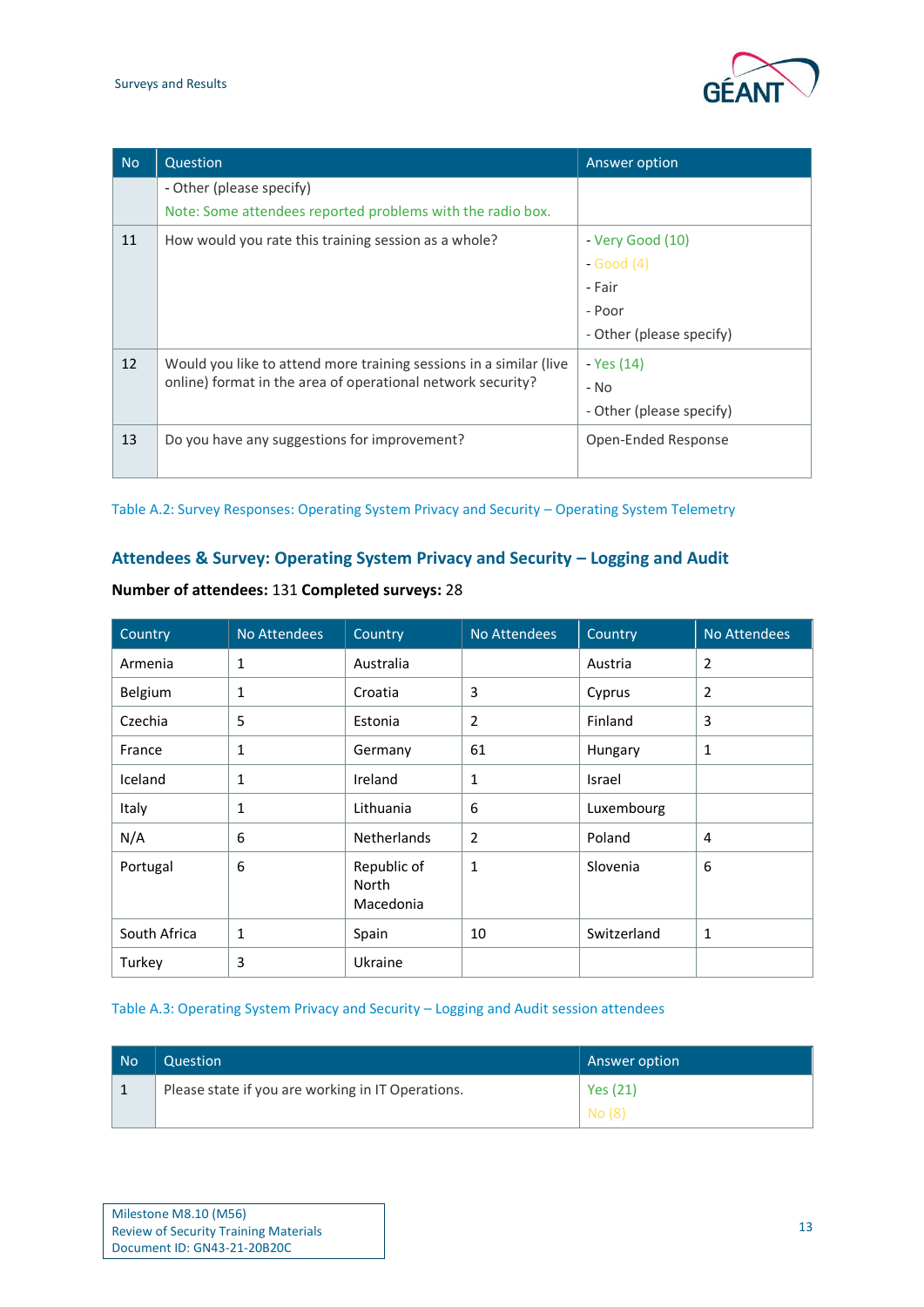

| <b>No</b> | Question                                                           | Answer option            |
|-----------|--------------------------------------------------------------------|--------------------------|
|           | - Other (please specify)                                           |                          |
|           | Note: Some attendees reported problems with the radio box.         |                          |
| 11        | How would you rate this training session as a whole?               | - Very Good (10)         |
|           |                                                                    | - Good (4)               |
|           |                                                                    | - Fair                   |
|           |                                                                    | - Poor                   |
|           |                                                                    | - Other (please specify) |
| 12        | Would you like to attend more training sessions in a similar (live | - Yes (14)               |
|           | online) format in the area of operational network security?        | - No                     |
|           |                                                                    | - Other (please specify) |
| 13        | Do you have any suggestions for improvement?                       | Open-Ended Response      |
|           |                                                                    |                          |

<span id="page-13-0"></span>Table A.2: Survey Responses: Operating System Privacy and Security – Operating System Telemetry

## Attendees & Survey: Operating System Privacy and Security – Logging and Audit

| Country      | No Attendees | Country                           | No Attendees   | Country     | No Attendees |
|--------------|--------------|-----------------------------------|----------------|-------------|--------------|
| Armenia      | 1            | Australia                         |                | Austria     | 2            |
| Belgium      | 1            | Croatia                           | 3              | Cyprus      | 2            |
| Czechia      | 5            | Estonia                           | $\overline{2}$ | Finland     | 3            |
| France       | 1            | Germany                           | 61             | Hungary     | 1            |
| Iceland      | 1            | Ireland                           | $\mathbf{1}$   | Israel      |              |
| Italy        | 1            | Lithuania                         | 6              | Luxembourg  |              |
| N/A          | 6            | <b>Netherlands</b>                | $\overline{2}$ | Poland      | 4            |
| Portugal     | 6            | Republic of<br>North<br>Macedonia | 1              | Slovenia    | 6            |
| South Africa | $\mathbf{1}$ | Spain                             | 10             | Switzerland | 1            |
| Turkey       | 3            | Ukraine                           |                |             |              |

## **Number of attendees:** 131 **Completed surveys:** 28

#### <span id="page-13-1"></span>Table A.3: Operating System Privacy and Security – Logging and Audit session attendees

| No | Question                                          | Answer option |
|----|---------------------------------------------------|---------------|
|    | Please state if you are working in IT Operations. | Yes (21)      |
|    |                                                   | No (8)        |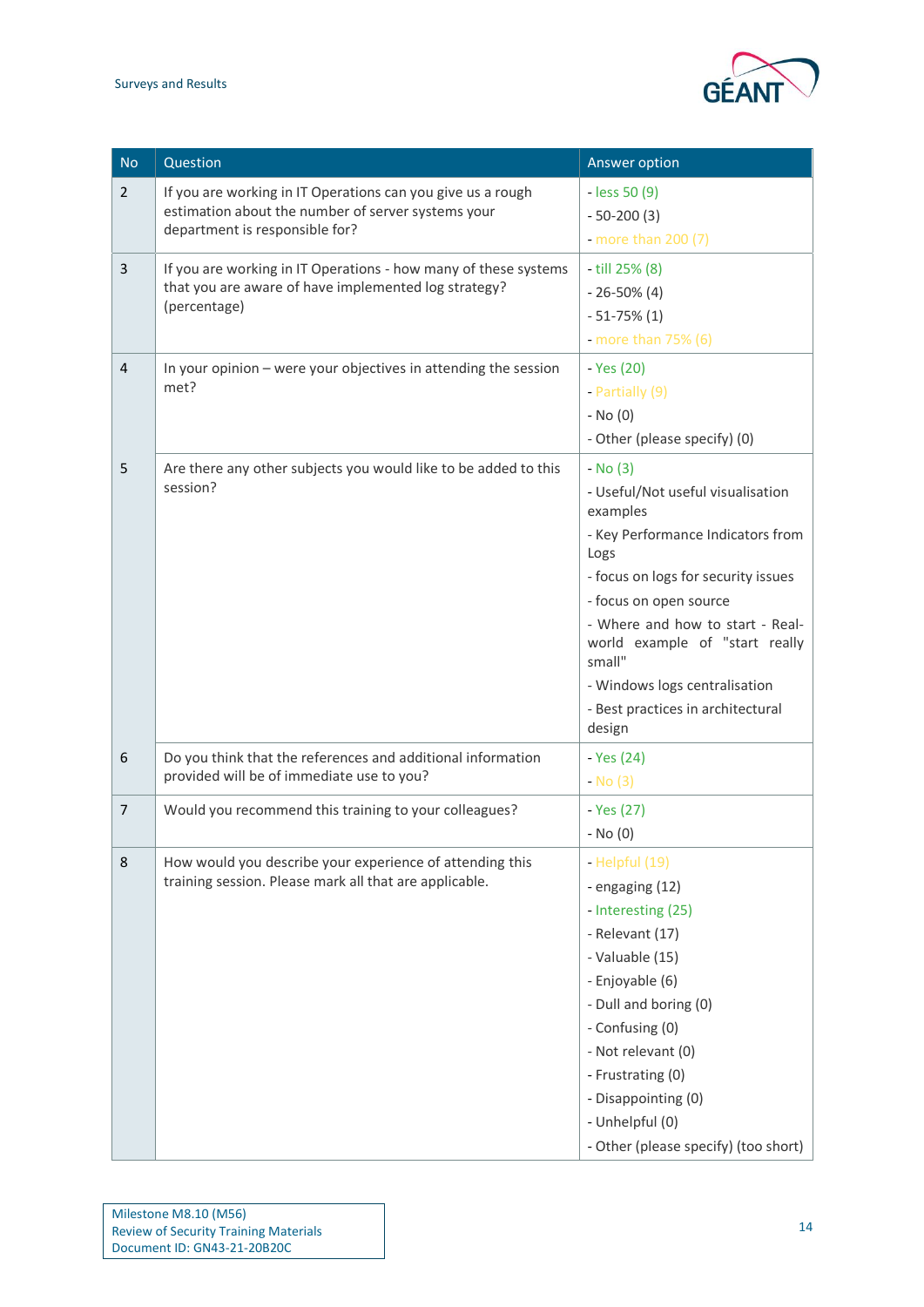

| <b>No</b>      | Question                                                                                                                                            | Answer option                                                                                                                                                                                                                                                                                                                             |
|----------------|-----------------------------------------------------------------------------------------------------------------------------------------------------|-------------------------------------------------------------------------------------------------------------------------------------------------------------------------------------------------------------------------------------------------------------------------------------------------------------------------------------------|
| $\overline{2}$ | If you are working in IT Operations can you give us a rough<br>estimation about the number of server systems your<br>department is responsible for? | $-$ less 50 $(9)$<br>$-50-200(3)$<br>- more than $200(7)$                                                                                                                                                                                                                                                                                 |
| 3              | If you are working in IT Operations - how many of these systems<br>that you are aware of have implemented log strategy?<br>(percentage)             | - till 25% (8)<br>$-26-50\%$ (4)<br>$-51-75\%$ (1)<br>- more than $75\%$ (6)                                                                                                                                                                                                                                                              |
| $\overline{4}$ | In your opinion - were your objectives in attending the session<br>met?                                                                             | - Yes (20)<br>- Partially (9)<br>$-$ No $(0)$<br>- Other (please specify) (0)                                                                                                                                                                                                                                                             |
| 5              | Are there any other subjects you would like to be added to this<br>session?                                                                         | $-$ No (3)<br>- Useful/Not useful visualisation<br>examples<br>- Key Performance Indicators from<br>Logs<br>- focus on logs for security issues<br>- focus on open source<br>- Where and how to start - Real-<br>world example of "start really<br>small"<br>- Windows logs centralisation<br>- Best practices in architectural<br>design |
| 6              | Do you think that the references and additional information<br>provided will be of immediate use to you?                                            | - Yes (24)<br>$-$ No (3)                                                                                                                                                                                                                                                                                                                  |
| $\overline{7}$ | Would you recommend this training to your colleagues?                                                                                               | - Yes (27)<br>$-$ No $(0)$                                                                                                                                                                                                                                                                                                                |
| 8              | How would you describe your experience of attending this<br>training session. Please mark all that are applicable.                                  | - Helpful (19)<br>- engaging (12)<br>- Interesting (25)<br>- Relevant (17)<br>- Valuable (15)<br>- Enjoyable (6)<br>- Dull and boring (0)<br>- Confusing (0)<br>- Not relevant (0)<br>- Frustrating (0)<br>- Disappointing (0)<br>- Unhelpful (0)<br>- Other (please specify) (too short)                                                 |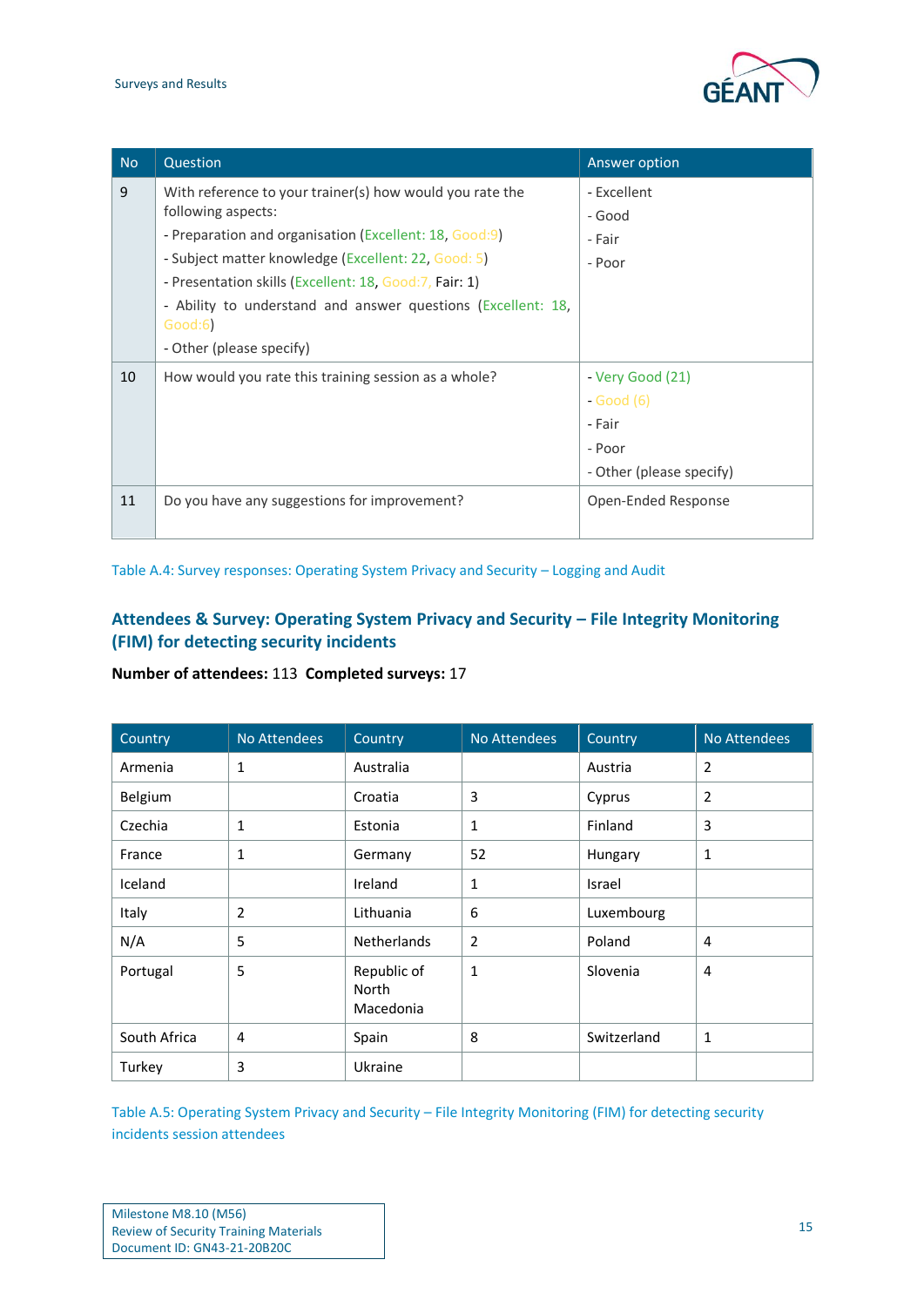

| <b>No</b> | Question                                                                | Answer option            |
|-----------|-------------------------------------------------------------------------|--------------------------|
| 9         | With reference to your trainer(s) how would you rate the                | - Excellent              |
|           | following aspects:                                                      | - Good                   |
|           | - Preparation and organisation (Excellent: 18, Good:9)                  | - Fair                   |
|           | - Subject matter knowledge (Excellent: 22, Good: 5)                     | - Poor                   |
|           | - Presentation skills (Excellent: 18, Good: 7, Fair: 1)                 |                          |
|           | - Ability to understand and answer questions (Excellent: 18,<br>Good:6) |                          |
|           | - Other (please specify)                                                |                          |
| 10        | How would you rate this training session as a whole?                    | - Very Good (21)         |
|           |                                                                         | $-Good(6)$               |
|           |                                                                         | - Fair                   |
|           |                                                                         | - Poor                   |
|           |                                                                         | - Other (please specify) |
| 11        | Do you have any suggestions for improvement?                            | Open-Ended Response      |

<span id="page-15-0"></span>Table A.4: Survey responses: Operating System Privacy and Security – Logging and Audit

## **Attendees & Survey: Operating System Privacy and Security – File Integrity Monitoring (FIM) for detecting security incidents**

## **Number of attendees:** 113 **Completed surveys:** 17

| Country      | <b>No Attendees</b> | Country                           | No Attendees | Country     | No Attendees   |
|--------------|---------------------|-----------------------------------|--------------|-------------|----------------|
| Armenia      | 1                   | Australia                         |              | Austria     | $\overline{2}$ |
| Belgium      |                     | Croatia                           | 3            | Cyprus      | $\overline{2}$ |
| Czechia      | 1                   | Estonia                           | 1            | Finland     | 3              |
| France       | 1                   | Germany                           | 52           | Hungary     | 1              |
| Iceland      |                     | Ireland                           | 1            | Israel      |                |
| Italy        | 2                   | Lithuania                         | 6            | Luxembourg  |                |
| N/A          | 5                   | <b>Netherlands</b>                | 2            | Poland      | 4              |
| Portugal     | 5                   | Republic of<br>North<br>Macedonia | 1            | Slovenia    | 4              |
| South Africa | 4                   | Spain                             | 8            | Switzerland | $\mathbf{1}$   |
| Turkey       | 3                   | Ukraine                           |              |             |                |

<span id="page-15-1"></span>Table A.5: Operating System Privacy and Security – File Integrity Monitoring (FIM) for detecting security incidents session attendees

| Milestone M8.10 (M56)                        |  |
|----------------------------------------------|--|
| <b>Review of Security Training Materials</b> |  |
| Document ID: GN43-21-20B20C                  |  |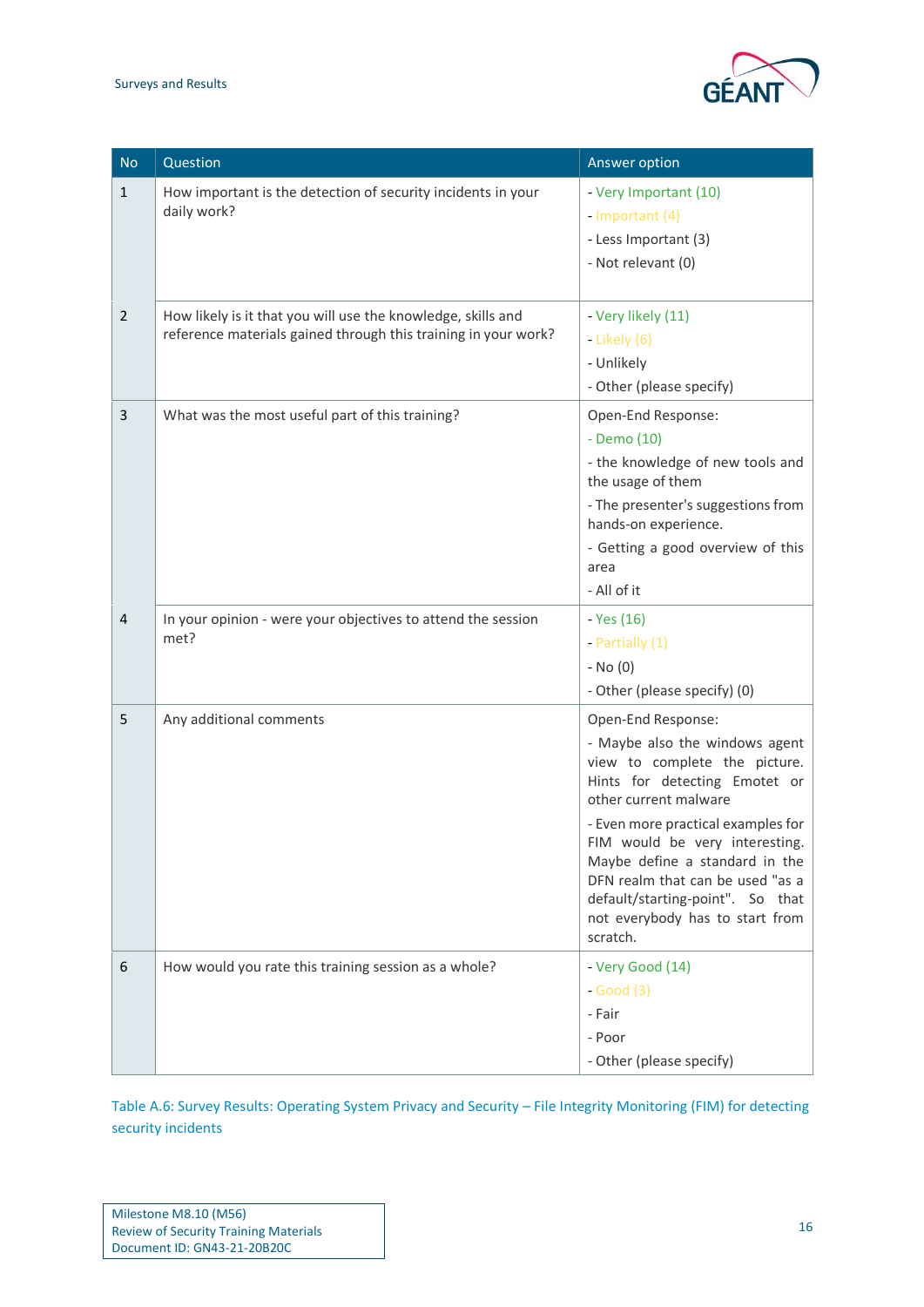

| <b>No</b>      | Question                                                                                                                       | Answer option                                                                                                                                                                                                                                                                                                                                                                    |
|----------------|--------------------------------------------------------------------------------------------------------------------------------|----------------------------------------------------------------------------------------------------------------------------------------------------------------------------------------------------------------------------------------------------------------------------------------------------------------------------------------------------------------------------------|
| $\mathbf{1}$   | How important is the detection of security incidents in your<br>daily work?                                                    | - Very Important (10)<br>- Important (4)<br>- Less Important (3)<br>- Not relevant (0)                                                                                                                                                                                                                                                                                           |
| $\overline{2}$ | How likely is it that you will use the knowledge, skills and<br>reference materials gained through this training in your work? | - Very likely (11)<br>- Likely (6)<br>- Unlikely<br>- Other (please specify)                                                                                                                                                                                                                                                                                                     |
| 3              | What was the most useful part of this training?                                                                                | Open-End Response:<br>- Demo (10)<br>- the knowledge of new tools and<br>the usage of them<br>- The presenter's suggestions from<br>hands-on experience.<br>- Getting a good overview of this<br>area<br>- All of it                                                                                                                                                             |
| $\overline{4}$ | In your opinion - were your objectives to attend the session<br>met?                                                           | - Yes (16)<br>- Partially (1)<br>$-$ No $(0)$<br>- Other (please specify) (0)                                                                                                                                                                                                                                                                                                    |
| 5              | Any additional comments                                                                                                        | Open-End Response:<br>- Maybe also the windows agent<br>view to complete the picture.<br>Hints for detecting Emotet or<br>other current malware<br>- Even more practical examples for<br>FIM would be very interesting.<br>Maybe define a standard in the<br>DFN realm that can be used "as a<br>default/starting-point". So that<br>not everybody has to start from<br>scratch. |
| 6              | How would you rate this training session as a whole?                                                                           | - Very Good (14)<br>$-Good(3)$<br>- Fair<br>- Poor<br>- Other (please specify)                                                                                                                                                                                                                                                                                                   |

<span id="page-16-0"></span>Table A.6: Survey Results: Operating System Privacy and Security – File Integrity Monitoring (FIM) for detecting security incidents

| Milestone M8.10 (M56)                        |
|----------------------------------------------|
| <b>Review of Security Training Materials</b> |
| Document ID: GN43-21-20B20C                  |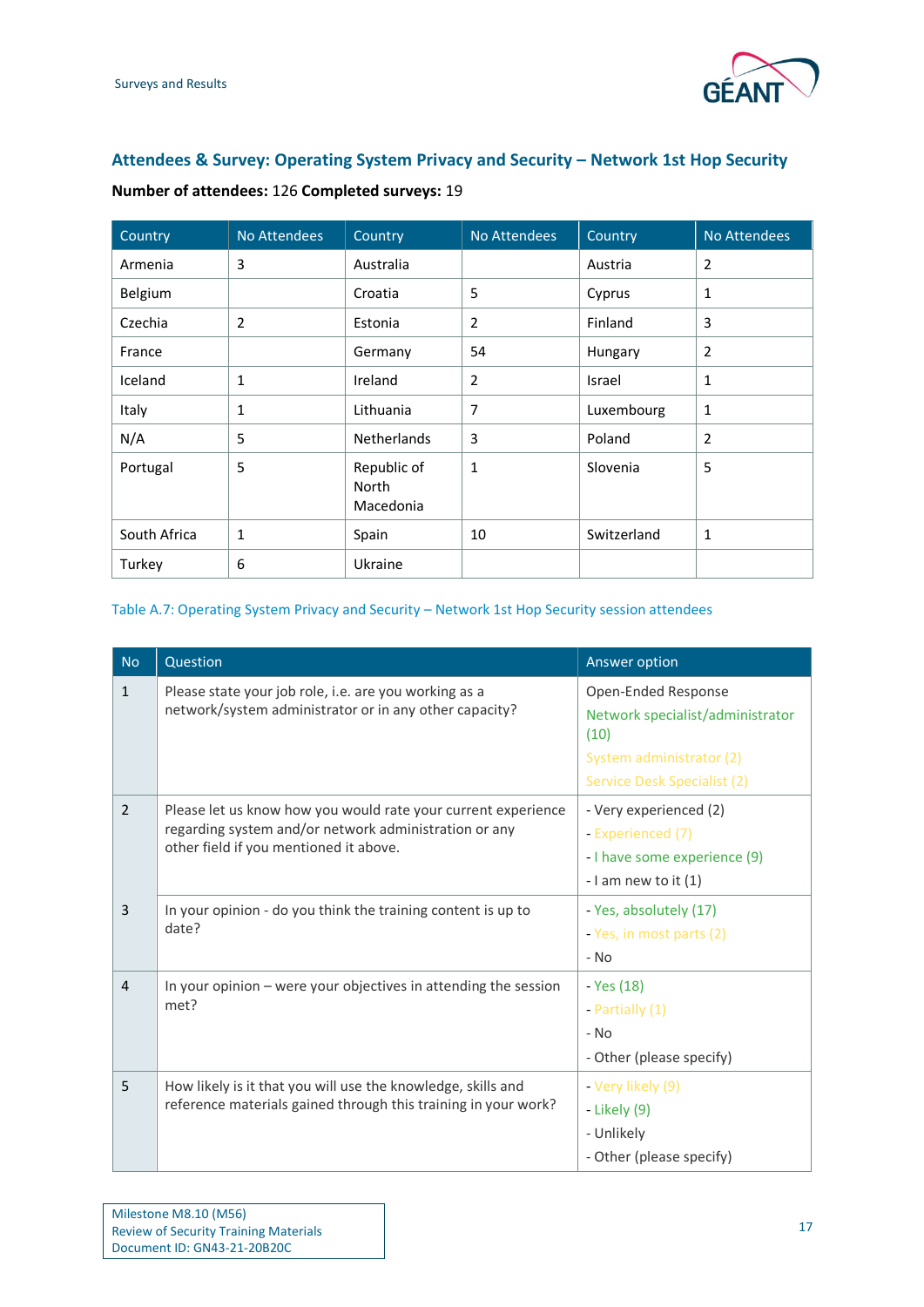

## **Attendees & Survey: Operating System Privacy and Security – Network 1st Hop Security**

| Country      | <b>No Attendees</b> | Country                           | No Attendees   | Country     | No Attendees   |
|--------------|---------------------|-----------------------------------|----------------|-------------|----------------|
| Armenia      | 3                   | Australia                         |                | Austria     | 2              |
| Belgium      |                     | Croatia                           | 5              | Cyprus      | 1              |
| Czechia      | 2                   | Estonia                           | $\overline{2}$ | Finland     | 3              |
| France       |                     | Germany                           | 54             | Hungary     | $\overline{2}$ |
| Iceland      | 1                   | Ireland                           | $\overline{2}$ | Israel      | $\mathbf{1}$   |
| Italy        | 1                   | Lithuania                         | 7              | Luxembourg  | 1              |
| N/A          | 5                   | <b>Netherlands</b>                | 3              | Poland      | $\overline{2}$ |
| Portugal     | 5                   | Republic of<br>North<br>Macedonia | $\mathbf{1}$   | Slovenia    | 5              |
| South Africa | 1                   | Spain                             | 10             | Switzerland | 1              |
| Turkey       | 6                   | Ukraine                           |                |             |                |

**Number of attendees:** 126 **Completed surveys:** 19

#### <span id="page-17-0"></span>Table A.7: Operating System Privacy and Security – Network 1st Hop Security session attendees

| <b>No</b>      | Question                                                                                                                                                         | Answer option                                                                                                              |
|----------------|------------------------------------------------------------------------------------------------------------------------------------------------------------------|----------------------------------------------------------------------------------------------------------------------------|
| $\mathbf{1}$   | Please state your job role, i.e. are you working as a<br>network/system administrator or in any other capacity?                                                  | Open-Ended Response<br>Network specialist/administrator<br>(10)<br>System administrator (2)<br>Service Desk Specialist (2) |
| 2              | Please let us know how you would rate your current experience<br>regarding system and/or network administration or any<br>other field if you mentioned it above. | - Very experienced (2)<br>- Experienced (7)<br>- I have some experience (9)<br>- I am new to it $(1)$                      |
| 3              | In your opinion - do you think the training content is up to<br>date?                                                                                            | - Yes, absolutely (17)<br>- Yes, in most parts (2)<br>$-$ No                                                               |
| $\overline{4}$ | In your opinion - were your objectives in attending the session<br>met?                                                                                          | - Yes (18)<br>- Partially $(1)$<br>$-$ No<br>- Other (please specify)                                                      |
| 5              | How likely is it that you will use the knowledge, skills and<br>reference materials gained through this training in your work?                                   | - Very likely (9)<br>- Likely (9)<br>- Unlikely<br>- Other (please specify)                                                |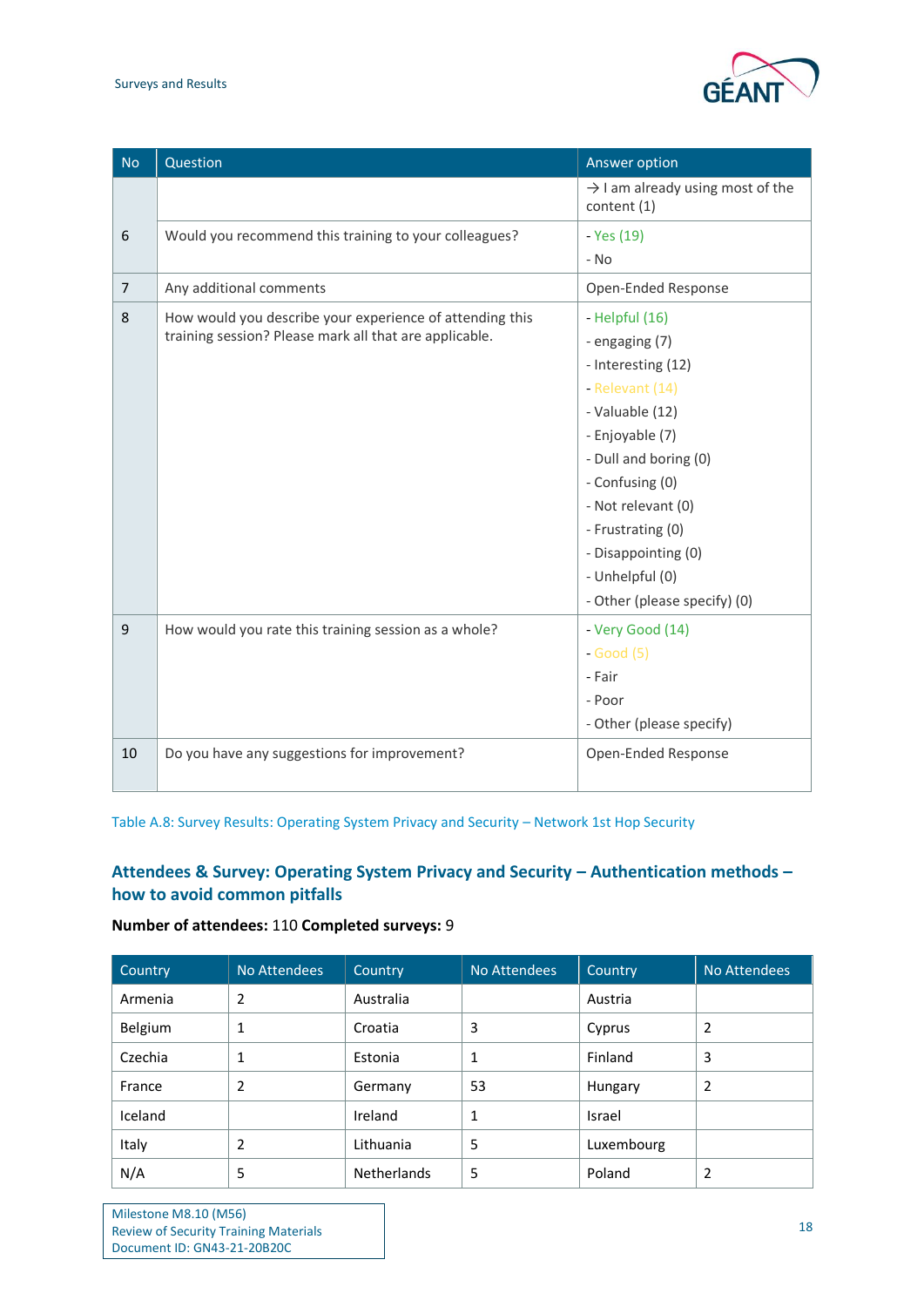#### Surveys and Results



| <b>No</b>      | Question                                                                                                           | Answer option                                                                                                                                                                                                                                                                    |
|----------------|--------------------------------------------------------------------------------------------------------------------|----------------------------------------------------------------------------------------------------------------------------------------------------------------------------------------------------------------------------------------------------------------------------------|
|                |                                                                                                                    | $\rightarrow$ I am already using most of the<br>content (1)                                                                                                                                                                                                                      |
| 6              | Would you recommend this training to your colleagues?                                                              | - Yes (19)                                                                                                                                                                                                                                                                       |
|                |                                                                                                                    | - No                                                                                                                                                                                                                                                                             |
| $\overline{7}$ | Any additional comments                                                                                            | Open-Ended Response                                                                                                                                                                                                                                                              |
| 8              | How would you describe your experience of attending this<br>training session? Please mark all that are applicable. | - Helpful (16)<br>- engaging (7)<br>- Interesting (12)<br>- Relevant (14)<br>- Valuable (12)<br>- Enjoyable (7)<br>- Dull and boring (0)<br>- Confusing (0)<br>- Not relevant (0)<br>- Frustrating (0)<br>- Disappointing (0)<br>- Unhelpful (0)<br>- Other (please specify) (0) |
| 9              | How would you rate this training session as a whole?                                                               | - Very Good (14)<br>$-Good(5)$<br>- Fair<br>- Poor<br>- Other (please specify)                                                                                                                                                                                                   |
| 10             | Do you have any suggestions for improvement?                                                                       | Open-Ended Response                                                                                                                                                                                                                                                              |

<span id="page-18-0"></span>Table A.8: Survey Results: Operating System Privacy and Security – Network 1st Hop Security

## **Attendees & Survey: Operating System Privacy and Security – Authentication methods – how to avoid common pitfalls**

### **Number of attendees:** 110 **Completed surveys:** 9

| Country | No Attendees | Country            | No Attendees | Country    | No Attendees   |
|---------|--------------|--------------------|--------------|------------|----------------|
| Armenia | 2            | Australia          |              | Austria    |                |
| Belgium |              | Croatia            | 3            | Cyprus     | 2              |
| Czechia | 1            | Estonia            | 1            | Finland    | 3              |
| France  | 2            | Germany            | 53           | Hungary    | $\overline{2}$ |
| Iceland |              | Ireland            | 1            | Israel     |                |
| Italy   | 2            | Lithuania          | 5            | Luxembourg |                |
| N/A     | 5            | <b>Netherlands</b> | 5            | Poland     | 2              |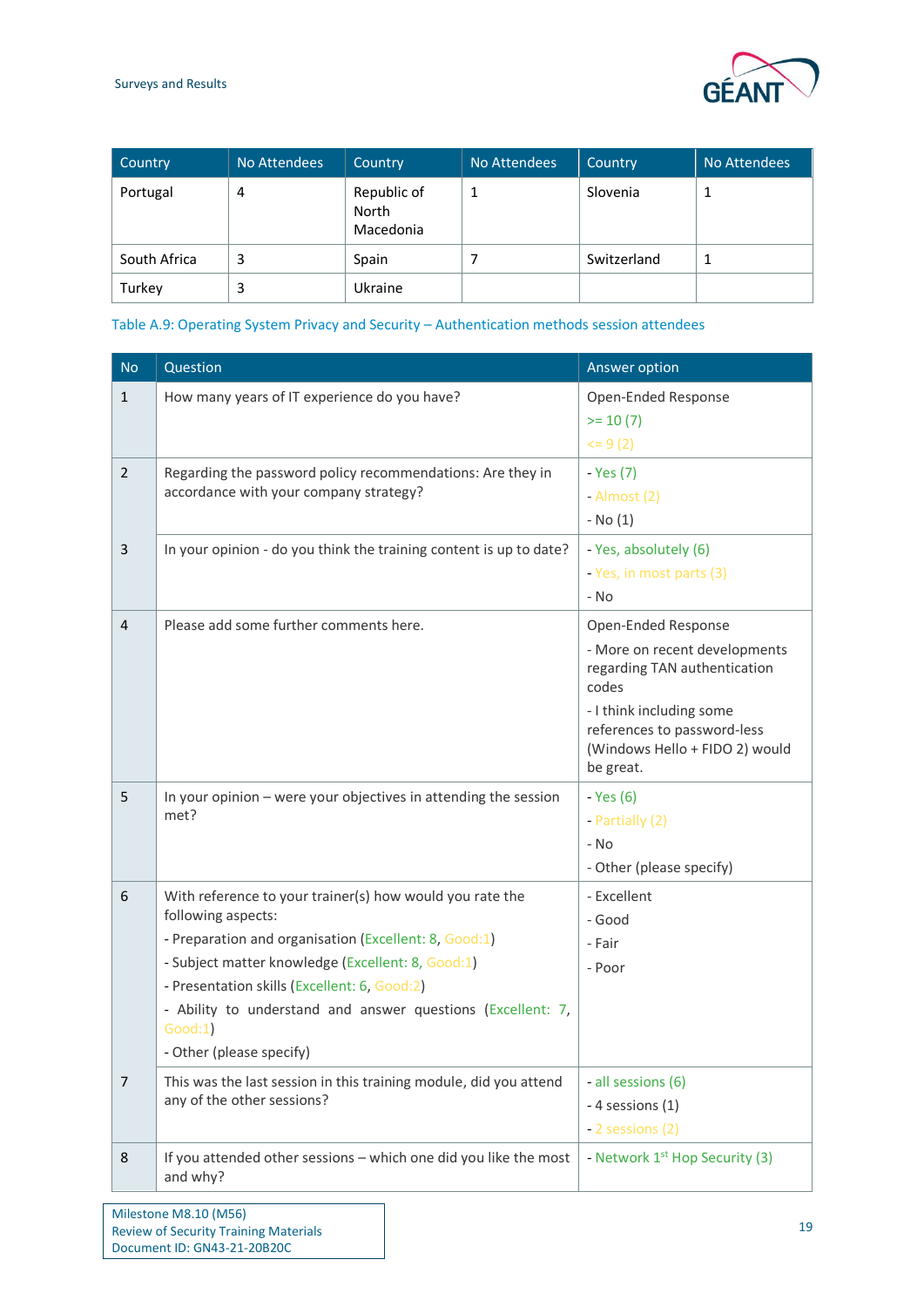Document ID: GN43-21-20B20C



| Country      | No Attendees | Country                           | No Attendees | Country     | No Attendees |
|--------------|--------------|-----------------------------------|--------------|-------------|--------------|
| Portugal     | 4            | Republic of<br>North<br>Macedonia |              | Slovenia    |              |
| South Africa | 3            | Spain                             |              | Switzerland |              |
| Turkey       | 3            | Ukraine                           |              |             |              |

<span id="page-19-0"></span>Table A.9: Operating System Privacy and Security – Authentication methods session attendees

| <b>No</b>      | Question                                                                                                   | Answer option                                                                                          |
|----------------|------------------------------------------------------------------------------------------------------------|--------------------------------------------------------------------------------------------------------|
| $\mathbf{1}$   | How many years of IT experience do you have?                                                               | Open-Ended Response                                                                                    |
|                |                                                                                                            | $= 10(7)$                                                                                              |
|                |                                                                                                            | $= 9(2)$                                                                                               |
| $\overline{2}$ | Regarding the password policy recommendations: Are they in                                                 | - Yes (7)                                                                                              |
|                | accordance with your company strategy?                                                                     | - Almost (2)                                                                                           |
|                |                                                                                                            | $-$ No $(1)$                                                                                           |
| 3              | In your opinion - do you think the training content is up to date?                                         | - Yes, absolutely (6)                                                                                  |
|                |                                                                                                            | - Yes, in most parts (3)                                                                               |
|                |                                                                                                            | - No                                                                                                   |
| $\overline{4}$ | Please add some further comments here.                                                                     | Open-Ended Response                                                                                    |
|                |                                                                                                            | - More on recent developments<br>regarding TAN authentication<br>codes                                 |
|                |                                                                                                            | - I think including some<br>references to password-less<br>(Windows Hello + FIDO 2) would<br>be great. |
| 5              | In your opinion - were your objectives in attending the session                                            | - Yes (6)                                                                                              |
|                | met?                                                                                                       | - Partially (2)                                                                                        |
|                |                                                                                                            | - No                                                                                                   |
|                |                                                                                                            | - Other (please specify)                                                                               |
| 6              | With reference to your trainer(s) how would you rate the                                                   | - Excellent                                                                                            |
|                | following aspects:                                                                                         | - Good                                                                                                 |
|                | - Preparation and organisation (Excellent: 8, Good:1)<br>- Subject matter knowledge (Excellent: 8, Good:1) | - Fair                                                                                                 |
|                | - Presentation skills (Excellent: 6, Good:2)                                                               | - Poor                                                                                                 |
|                | - Ability to understand and answer questions (Excellent: 7,                                                |                                                                                                        |
|                | Good:1)                                                                                                    |                                                                                                        |
|                | - Other (please specify)                                                                                   |                                                                                                        |
| 7              | This was the last session in this training module, did you attend                                          | - all sessions (6)                                                                                     |
|                | any of the other sessions?                                                                                 | - 4 sessions (1)                                                                                       |
|                |                                                                                                            | - 2 sessions (2)                                                                                       |
| 8              | If you attended other sessions - which one did you like the most<br>and why?                               | - Network 1 <sup>st</sup> Hop Security (3)                                                             |
|                | Milestone M8.10 (M56)<br><b>Review of Security Training Materials</b>                                      | 19                                                                                                     |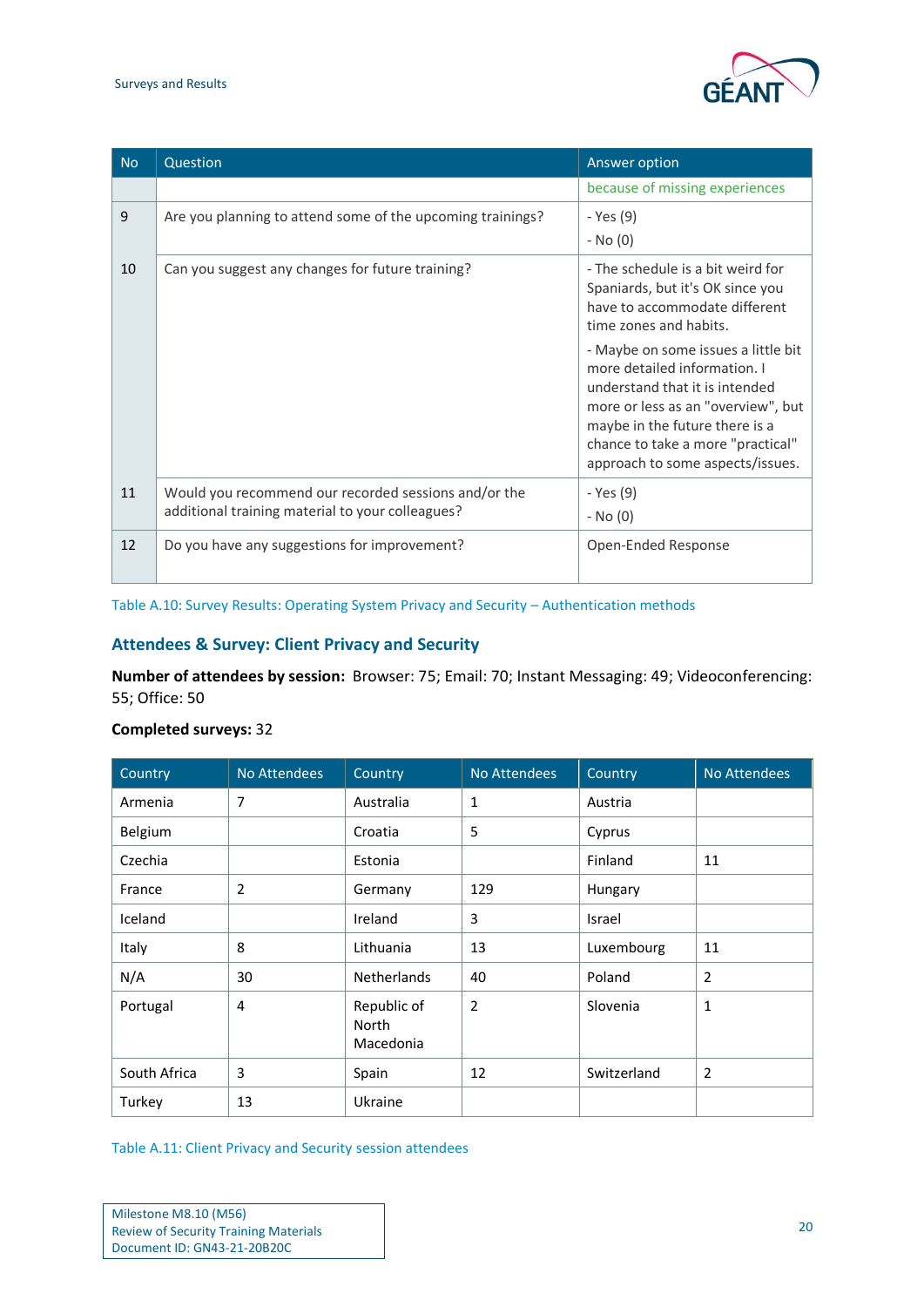#### Surveys and Results



| <b>No</b> | Question                                                                                                 | Answer option                                                                                                                                                                                                                                          |
|-----------|----------------------------------------------------------------------------------------------------------|--------------------------------------------------------------------------------------------------------------------------------------------------------------------------------------------------------------------------------------------------------|
|           |                                                                                                          | because of missing experiences                                                                                                                                                                                                                         |
| 9         | Are you planning to attend some of the upcoming trainings?                                               | - Yes (9)<br>- No (0)                                                                                                                                                                                                                                  |
| 10        | Can you suggest any changes for future training?                                                         | - The schedule is a bit weird for<br>Spaniards, but it's OK since you<br>have to accommodate different<br>time zones and habits.                                                                                                                       |
|           |                                                                                                          | - Maybe on some issues a little bit<br>more detailed information. I<br>understand that it is intended<br>more or less as an "overview", but<br>maybe in the future there is a<br>chance to take a more "practical"<br>approach to some aspects/issues. |
| 11        | Would you recommend our recorded sessions and/or the<br>additional training material to your colleagues? | - Yes (9)<br>- No (0)                                                                                                                                                                                                                                  |
| 12        | Do you have any suggestions for improvement?                                                             | Open-Ended Response                                                                                                                                                                                                                                    |

<span id="page-20-0"></span>Table A.10: Survey Results: Operating System Privacy and Security – Authentication methods

## **Attendees & Survey: Client Privacy and Security**

**Number of attendees by session:** Browser: 75; Email: 70; Instant Messaging: 49; Videoconferencing: 55; Office: 50

| Country      | No Attendees   | Country                           | No Attendees   | Country     | No Attendees   |
|--------------|----------------|-----------------------------------|----------------|-------------|----------------|
| Armenia      | $\overline{7}$ | Australia                         | $\mathbf{1}$   | Austria     |                |
| Belgium      |                | Croatia                           | 5              | Cyprus      |                |
| Czechia      |                | Estonia                           |                | Finland     | 11             |
| France       | 2              | Germany                           | 129            | Hungary     |                |
| Iceland      |                | Ireland                           | 3              | Israel      |                |
| Italy        | 8              | Lithuania                         | 13             | Luxembourg  | 11             |
| N/A          | 30             | <b>Netherlands</b>                | 40             | Poland      | $\overline{2}$ |
| Portugal     | 4              | Republic of<br>North<br>Macedonia | $\overline{2}$ | Slovenia    | $\mathbf{1}$   |
| South Africa | 3              | Spain                             | 12             | Switzerland | $\overline{2}$ |
| Turkey       | 13             | Ukraine                           |                |             |                |

## **Completed surveys:** 32

<span id="page-20-1"></span>Table A.11: Client Privacy and Security session attendees

| Milestone M8.10 (M56)                        |
|----------------------------------------------|
| <b>Review of Security Training Materials</b> |
| Document ID: GN43-21-20B20C                  |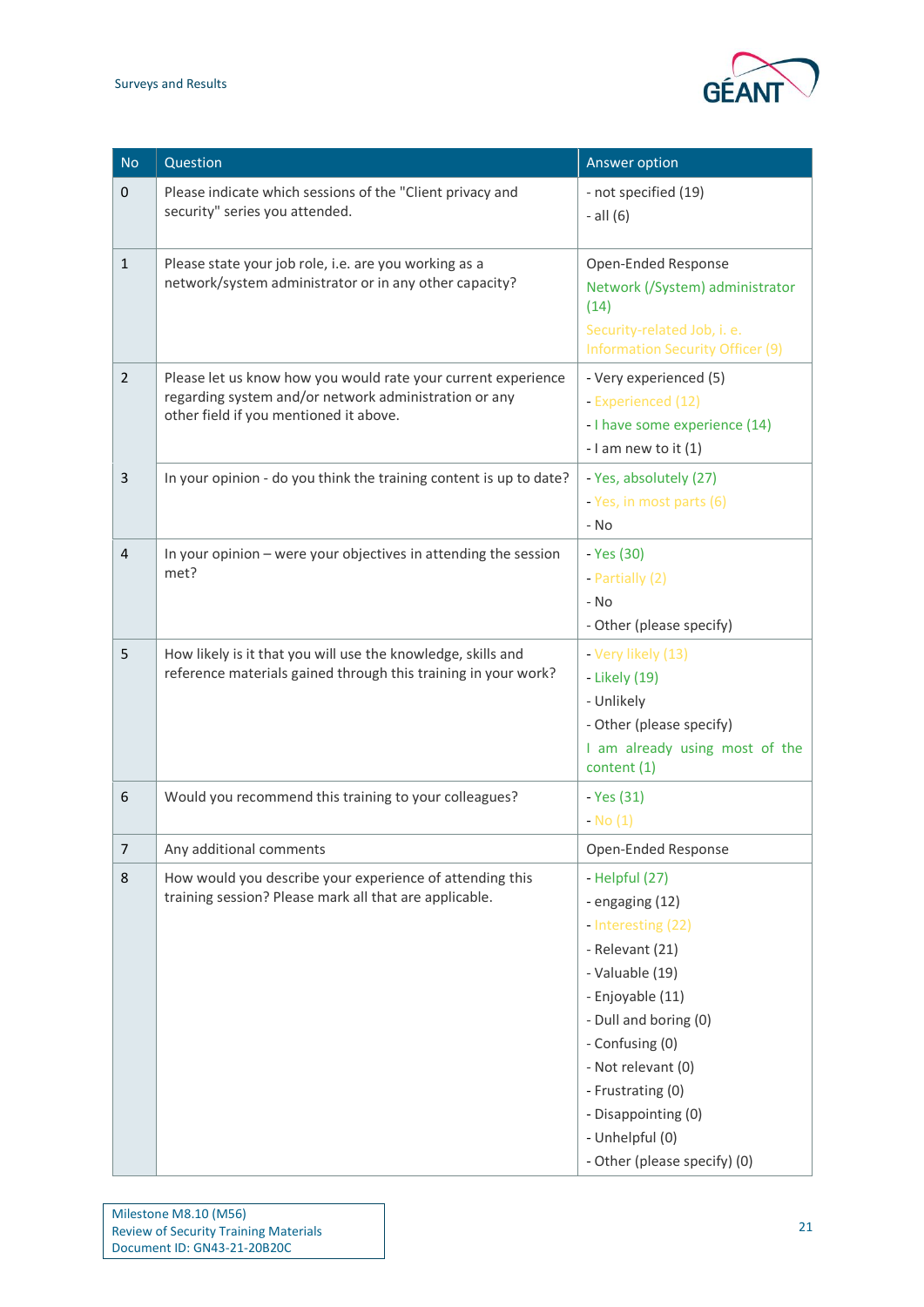

| <b>No</b>      | Question                                                                                                                                                         | Answer option                                                                                                                                                                                                                                                                      |
|----------------|------------------------------------------------------------------------------------------------------------------------------------------------------------------|------------------------------------------------------------------------------------------------------------------------------------------------------------------------------------------------------------------------------------------------------------------------------------|
| $\mathbf{0}$   | Please indicate which sessions of the "Client privacy and<br>security" series you attended.                                                                      | - not specified (19)<br>$-$ all $(6)$                                                                                                                                                                                                                                              |
| $\mathbf{1}$   | Please state your job role, i.e. are you working as a<br>network/system administrator or in any other capacity?                                                  | Open-Ended Response<br>Network (/System) administrator<br>(14)<br>Security-related Job, i. e.<br><b>Information Security Officer (9)</b>                                                                                                                                           |
| $\overline{2}$ | Please let us know how you would rate your current experience<br>regarding system and/or network administration or any<br>other field if you mentioned it above. | - Very experienced (5)<br>- Experienced (12)<br>- I have some experience (14)<br>- I am new to it $(1)$                                                                                                                                                                            |
| 3              | In your opinion - do you think the training content is up to date?                                                                                               | - Yes, absolutely (27)<br>- Yes, in most parts (6)<br>- No                                                                                                                                                                                                                         |
| $\overline{4}$ | In your opinion - were your objectives in attending the session<br>met?                                                                                          | - Yes (30)<br>- Partially (2)<br>- No<br>- Other (please specify)                                                                                                                                                                                                                  |
| 5              | How likely is it that you will use the knowledge, skills and<br>reference materials gained through this training in your work?                                   | - Very likely (13)<br>- Likely (19)<br>- Unlikely<br>- Other (please specify)<br>I am already using most of the<br>content (1)                                                                                                                                                     |
| 6              | Would you recommend this training to your colleagues?                                                                                                            | - Yes (31)<br>$-$ No $(1)$                                                                                                                                                                                                                                                         |
| $\prime$       | Any additional comments                                                                                                                                          | Open-Ended Response                                                                                                                                                                                                                                                                |
| 8              | How would you describe your experience of attending this<br>training session? Please mark all that are applicable.                                               | - Helpful (27)<br>- engaging (12)<br>- Interesting (22)<br>- Relevant (21)<br>- Valuable (19)<br>- Enjoyable (11)<br>- Dull and boring (0)<br>- Confusing (0)<br>- Not relevant (0)<br>- Frustrating (0)<br>- Disappointing (0)<br>- Unhelpful (0)<br>- Other (please specify) (0) |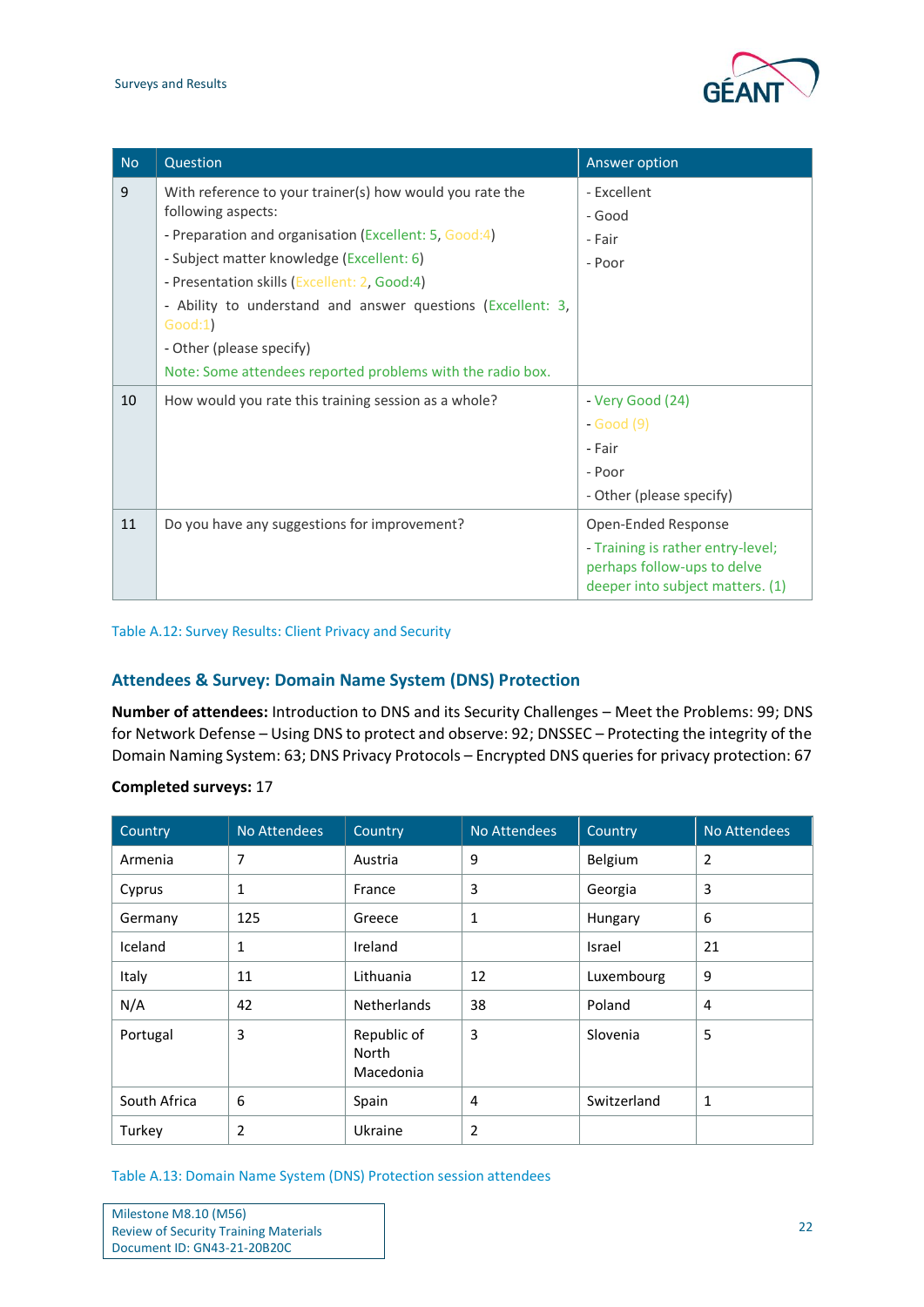

| <b>No</b> | Question                                                                                                                                                                                                                                                                                                                                                                                                 | Answer option                                                                                                               |
|-----------|----------------------------------------------------------------------------------------------------------------------------------------------------------------------------------------------------------------------------------------------------------------------------------------------------------------------------------------------------------------------------------------------------------|-----------------------------------------------------------------------------------------------------------------------------|
| 9         | With reference to your trainer(s) how would you rate the<br>following aspects:<br>- Preparation and organisation (Excellent: 5, Good:4)<br>- Subject matter knowledge (Excellent: 6)<br>- Presentation skills (Excellent: 2, Good:4)<br>- Ability to understand and answer questions (Excellent: 3,<br>Good:1)<br>- Other (please specify)<br>Note: Some attendees reported problems with the radio box. | - Excellent<br>- Good<br>- Fair<br>- Poor                                                                                   |
| 10        | How would you rate this training session as a whole?                                                                                                                                                                                                                                                                                                                                                     | - Very Good (24)<br>$-Good(9)$<br>- Fair<br>- Poor<br>- Other (please specify)                                              |
| 11        | Do you have any suggestions for improvement?                                                                                                                                                                                                                                                                                                                                                             | Open-Ended Response<br>- Training is rather entry-level;<br>perhaps follow-ups to delve<br>deeper into subject matters. (1) |

<span id="page-22-0"></span>Table A.12: Survey Results: Client Privacy and Security

## <span id="page-22-2"></span>**Attendees & Survey: Domain Name System (DNS) Protection**

**Number of attendees:** Introduction to DNS and its Security Challenges – Meet the Problems: 99; DNS for Network Defense – Using DNS to protect and observe: 92; DNSSEC – Protecting the integrity of the Domain Naming System: 63; DNS Privacy Protocols – Encrypted DNS queries for privacy protection: 67

| Country      | No Attendees   | Country                           | No Attendees   | Country     | No Attendees   |
|--------------|----------------|-----------------------------------|----------------|-------------|----------------|
| Armenia      | 7              | Austria                           | 9              | Belgium     | $\overline{2}$ |
| Cyprus       | 1              | France                            | 3              | Georgia     | 3              |
| Germany      | 125            | Greece                            | 1              | Hungary     | 6              |
| Iceland      | 1              | Ireland                           |                | Israel      | 21             |
| Italy        | 11             | Lithuania                         | 12             | Luxembourg  | 9              |
| N/A          | 42             | <b>Netherlands</b>                | 38             | Poland      | 4              |
| Portugal     | 3              | Republic of<br>North<br>Macedonia | 3              | Slovenia    | 5              |
| South Africa | 6              | Spain                             | 4              | Switzerland | 1              |
| Turkey       | $\overline{2}$ | Ukraine                           | $\overline{2}$ |             |                |

### **Completed surveys:** 17

<span id="page-22-1"></span>Table A.13: Domain Name System (DNS) Protection session attendees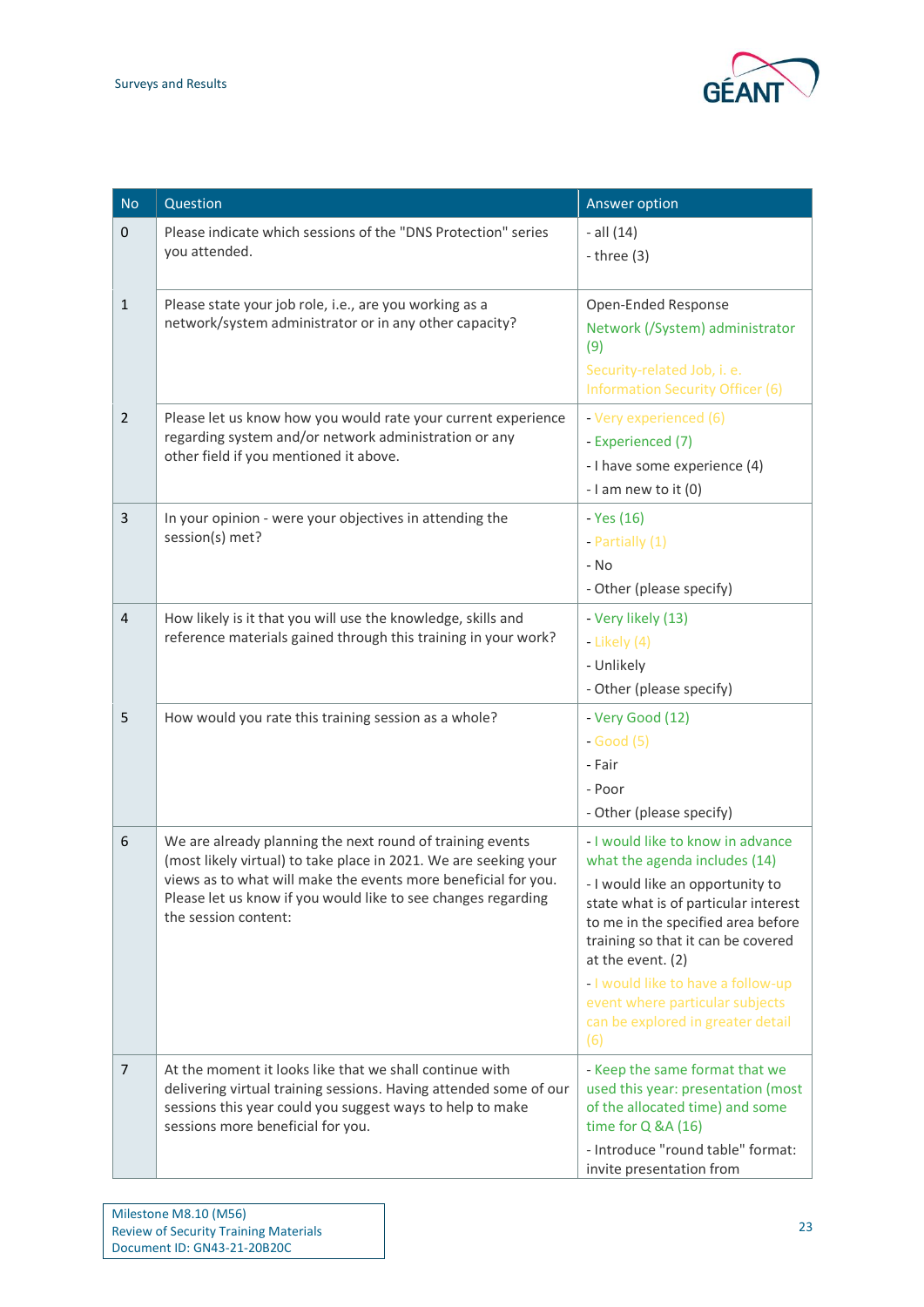

| <b>No</b>      | Question                                                                                                                                                                                                                                                                                 | Answer option                                                                                                                                                                                                                                                                                                                                                        |
|----------------|------------------------------------------------------------------------------------------------------------------------------------------------------------------------------------------------------------------------------------------------------------------------------------------|----------------------------------------------------------------------------------------------------------------------------------------------------------------------------------------------------------------------------------------------------------------------------------------------------------------------------------------------------------------------|
| $\pmb{0}$      | Please indicate which sessions of the "DNS Protection" series<br>you attended.                                                                                                                                                                                                           | $-$ all $(14)$<br>- three $(3)$                                                                                                                                                                                                                                                                                                                                      |
| $\mathbf{1}$   | Please state your job role, i.e., are you working as a<br>network/system administrator or in any other capacity?                                                                                                                                                                         | Open-Ended Response<br>Network (/System) administrator<br>(9)<br>Security-related Job, i. e.<br><b>Information Security Officer (6)</b>                                                                                                                                                                                                                              |
| $\overline{2}$ | Please let us know how you would rate your current experience<br>regarding system and/or network administration or any<br>other field if you mentioned it above.                                                                                                                         | - Very experienced (6)<br>- Experienced (7)<br>- I have some experience (4)<br>- I am new to it $(0)$                                                                                                                                                                                                                                                                |
| 3              | In your opinion - were your objectives in attending the<br>session(s) met?                                                                                                                                                                                                               | - Yes (16)<br>- Partially (1)<br>- No<br>- Other (please specify)                                                                                                                                                                                                                                                                                                    |
| 4              | How likely is it that you will use the knowledge, skills and<br>reference materials gained through this training in your work?                                                                                                                                                           | - Very likely (13)<br>- Likely (4)<br>- Unlikely<br>- Other (please specify)                                                                                                                                                                                                                                                                                         |
| 5              | How would you rate this training session as a whole?                                                                                                                                                                                                                                     | - Very Good (12)<br>$-Good(5)$<br>- Fair<br>- Poor<br>- Other (please specify)                                                                                                                                                                                                                                                                                       |
| 6              | We are already planning the next round of training events<br>(most likely virtual) to take place in 2021. We are seeking your<br>views as to what will make the events more beneficial for you.<br>Please let us know if you would like to see changes regarding<br>the session content: | - I would like to know in advance<br>what the agenda includes (14)<br>- I would like an opportunity to<br>state what is of particular interest<br>to me in the specified area before<br>training so that it can be covered<br>at the event. (2)<br>- I would like to have a follow-up<br>event where particular subjects<br>can be explored in greater detail<br>(6) |
| 7              | At the moment it looks like that we shall continue with<br>delivering virtual training sessions. Having attended some of our<br>sessions this year could you suggest ways to help to make<br>sessions more beneficial for you.                                                           | - Keep the same format that we<br>used this year: presentation (most<br>of the allocated time) and some<br>time for $Q$ &A $(16)$<br>- Introduce "round table" format:<br>invite presentation from                                                                                                                                                                   |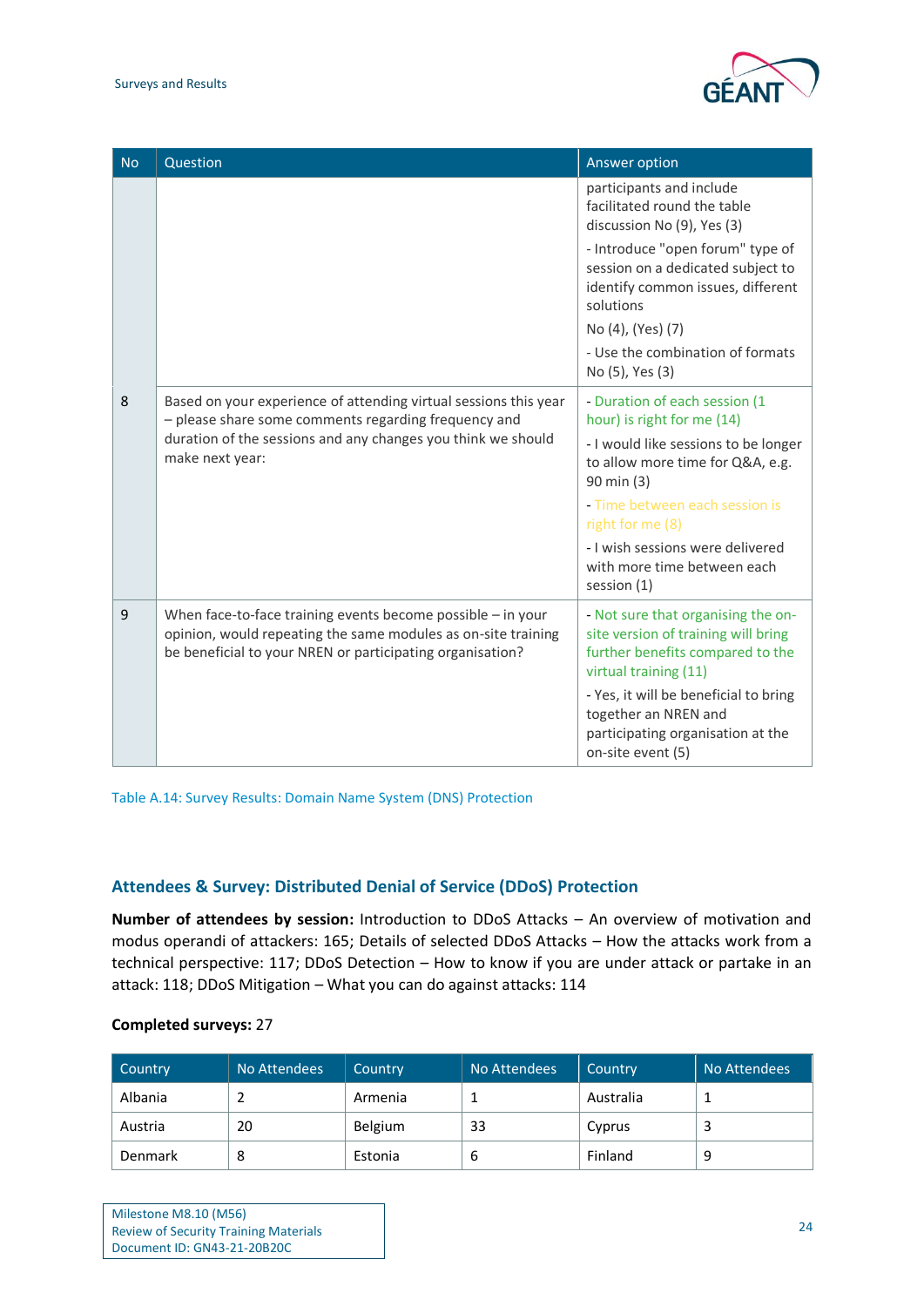

| <b>No</b> | Question                                                                                                                                                                                                    | Answer option                                                                                                                                                                                                                                                                                   |
|-----------|-------------------------------------------------------------------------------------------------------------------------------------------------------------------------------------------------------------|-------------------------------------------------------------------------------------------------------------------------------------------------------------------------------------------------------------------------------------------------------------------------------------------------|
|           |                                                                                                                                                                                                             | participants and include<br>facilitated round the table<br>discussion No (9), Yes (3)<br>- Introduce "open forum" type of<br>session on a dedicated subject to<br>identify common issues, different<br>solutions                                                                                |
|           |                                                                                                                                                                                                             | No (4), (Yes) (7)<br>- Use the combination of formats<br>No (5), Yes (3)                                                                                                                                                                                                                        |
| 8         | Based on your experience of attending virtual sessions this year<br>- please share some comments regarding frequency and<br>duration of the sessions and any changes you think we should<br>make next year: | - Duration of each session (1<br>hour) is right for me (14)<br>- I would like sessions to be longer<br>to allow more time for Q&A, e.g.<br>90 min (3)<br>- Time between each session is<br>right for me (8)<br>- I wish sessions were delivered<br>with more time between each<br>session $(1)$ |
| 9         | When face-to-face training events become possible $-$ in your<br>opinion, would repeating the same modules as on-site training<br>be beneficial to your NREN or participating organisation?                 | - Not sure that organising the on-<br>site version of training will bring<br>further benefits compared to the<br>virtual training (11)<br>- Yes, it will be beneficial to bring<br>together an NREN and<br>participating organisation at the<br>on-site event (5)                               |

<span id="page-24-0"></span>Table A.14: Survey Results: Domain Name System (DNS) Protection

## **Attendees & Survey: Distributed Denial of Service (DDoS) Protection**

**Number of attendees by session:** Introduction to DDoS Attacks – An overview of motivation and modus operandi of attackers: 165; Details of selected DDoS Attacks – How the attacks work from a technical perspective: 117; DDoS Detection – How to know if you are under attack or partake in an attack: 118; DDoS Mitigation – What you can do against attacks: 114

| Country        | No Attendees | Country | No Attendees | Country   | No Attendees |
|----------------|--------------|---------|--------------|-----------|--------------|
| Albania        |              | Armenia |              | Australia |              |
| Austria        | 20           | Belgium | 33           | Cyprus    | э            |
| <b>Denmark</b> | Ο            | Estonia | b            | Finland   | 9            |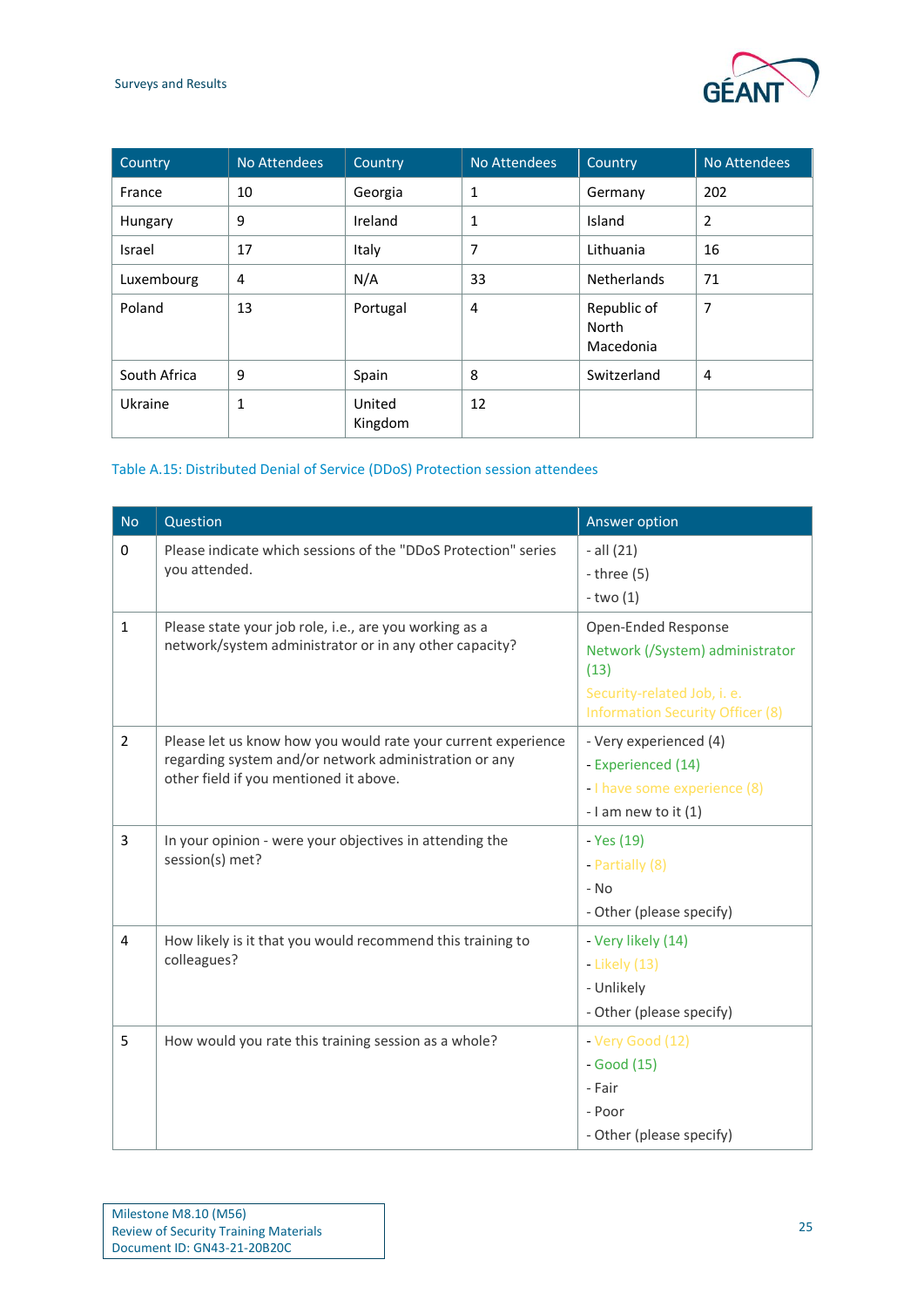

| Country      | No Attendees | Country           | No Attendees | Country                           | No Attendees   |
|--------------|--------------|-------------------|--------------|-----------------------------------|----------------|
| France       | 10           | Georgia           | 1            | Germany                           | 202            |
| Hungary      | 9            | Ireland           | 1            | Island                            | 2              |
| Israel       | 17           | Italy             | 7            | Lithuania                         | 16             |
| Luxembourg   | 4            | N/A               | 33           | <b>Netherlands</b>                | 71             |
| Poland       | 13           | Portugal          | 4            | Republic of<br>North<br>Macedonia | $\overline{7}$ |
| South Africa | 9            | Spain             | 8            | Switzerland                       | 4              |
| Ukraine      | 1            | United<br>Kingdom | 12           |                                   |                |

## <span id="page-25-0"></span>Table A.15: Distributed Denial of Service (DDoS) Protection session attendees

| <b>No</b>      | Question                                                                                                                                                         | Answer option                                                                                                                            |
|----------------|------------------------------------------------------------------------------------------------------------------------------------------------------------------|------------------------------------------------------------------------------------------------------------------------------------------|
| 0              | Please indicate which sessions of the "DDoS Protection" series<br>you attended.                                                                                  | $-$ all $(21)$<br>- three $(5)$<br>$-two(1)$                                                                                             |
| $\mathbf{1}$   | Please state your job role, i.e., are you working as a<br>network/system administrator or in any other capacity?                                                 | Open-Ended Response<br>Network (/System) administrator<br>(13)<br>Security-related Job, i. e.<br><b>Information Security Officer (8)</b> |
| $\overline{2}$ | Please let us know how you would rate your current experience<br>regarding system and/or network administration or any<br>other field if you mentioned it above. | - Very experienced (4)<br>- Experienced (14)<br>- I have some experience (8)<br>- I am new to it $(1)$                                   |
| 3              | In your opinion - were your objectives in attending the<br>session(s) met?                                                                                       | - Yes (19)<br>- Partially (8)<br>$-$ No<br>- Other (please specify)                                                                      |
| 4              | How likely is it that you would recommend this training to<br>colleagues?                                                                                        | - Very likely (14)<br>- Likely (13)<br>- Unlikely<br>- Other (please specify)                                                            |
| 5              | How would you rate this training session as a whole?                                                                                                             | - Very Good (12)<br>$-Good(15)$<br>- Fair<br>- Poor<br>- Other (please specify)                                                          |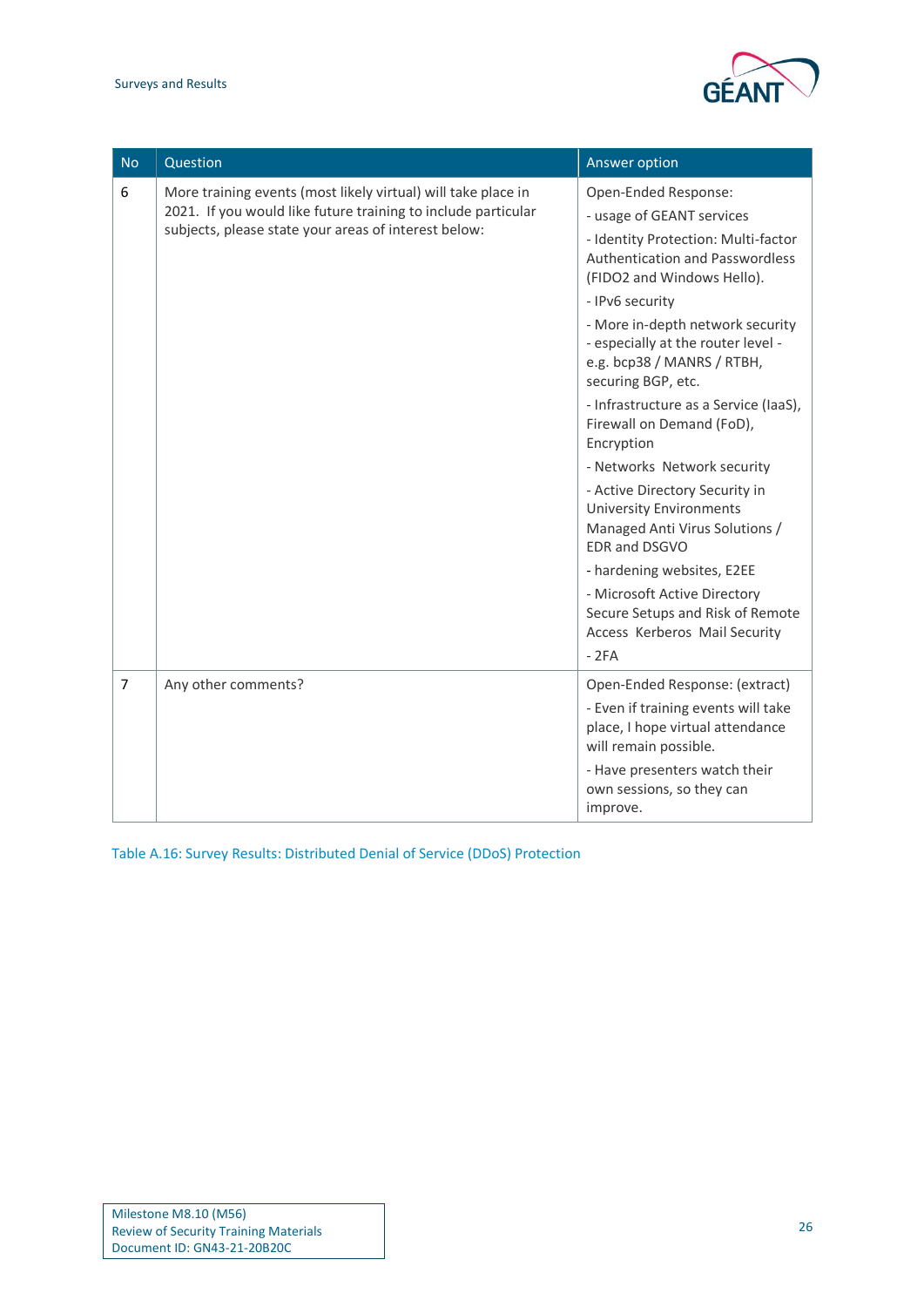

| <b>No</b>      | Question                                                                                                                                                                               | Answer option                                                                                                                                                    |
|----------------|----------------------------------------------------------------------------------------------------------------------------------------------------------------------------------------|------------------------------------------------------------------------------------------------------------------------------------------------------------------|
| 6              | More training events (most likely virtual) will take place in<br>2021. If you would like future training to include particular<br>subjects, please state your areas of interest below: | Open-Ended Response:<br>- usage of GEANT services<br>- Identity Protection: Multi-factor<br><b>Authentication and Passwordless</b><br>(FIDO2 and Windows Hello). |
|                |                                                                                                                                                                                        | - IPv6 security<br>- More in-depth network security<br>- especially at the router level -<br>e.g. bcp38 / MANRS / RTBH,<br>securing BGP, etc.                    |
|                |                                                                                                                                                                                        | - Infrastructure as a Service (IaaS),<br>Firewall on Demand (FoD),<br>Encryption                                                                                 |
|                |                                                                                                                                                                                        | - Networks Network security<br>- Active Directory Security in<br><b>University Environments</b><br>Managed Anti Virus Solutions /<br>EDR and DSGVO               |
|                |                                                                                                                                                                                        | - hardening websites, E2EE<br>- Microsoft Active Directory<br>Secure Setups and Risk of Remote<br>Access Kerberos Mail Security<br>$-2FA$                        |
| $\overline{7}$ | Any other comments?                                                                                                                                                                    | Open-Ended Response: (extract)<br>- Even if training events will take<br>place, I hope virtual attendance<br>will remain possible.                               |
|                |                                                                                                                                                                                        | - Have presenters watch their<br>own sessions, so they can<br>improve.                                                                                           |

<span id="page-26-0"></span>Table A.16: Survey Results: Distributed Denial of Service (DDoS) Protection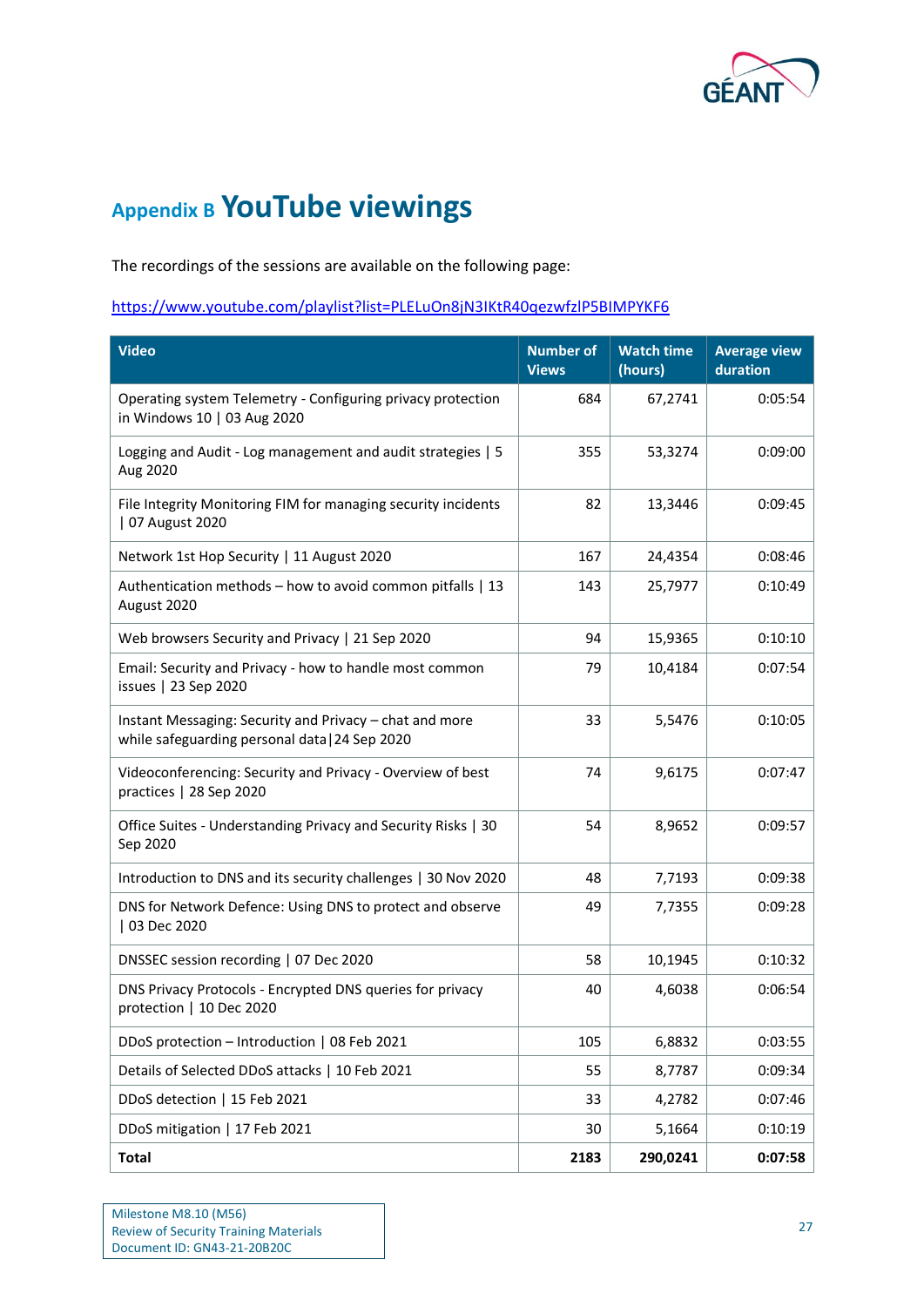

# <span id="page-27-0"></span>**Appendix B YouTube viewings**

The recordings of the sessions are available on the following page:

## <https://www.youtube.com/playlist?list=PLELuOn8jN3IKtR40qezwfzlP5BIMPYKF6>

| Video                                                                                                     | <b>Number of</b><br><b>Views</b> | <b>Watch time</b><br>(hours) | <b>Average view</b><br>duration |
|-----------------------------------------------------------------------------------------------------------|----------------------------------|------------------------------|---------------------------------|
| Operating system Telemetry - Configuring privacy protection<br>in Windows 10   03 Aug 2020                | 684                              | 67,2741                      | 0:05:54                         |
| Logging and Audit - Log management and audit strategies   5<br>Aug 2020                                   | 355                              | 53,3274                      | 0:09:00                         |
| File Integrity Monitoring FIM for managing security incidents<br>07 August 2020                           | 82                               | 13,3446                      | 0:09:45                         |
| Network 1st Hop Security   11 August 2020                                                                 | 167                              | 24,4354                      | 0:08:46                         |
| Authentication methods - how to avoid common pitfalls   13<br>August 2020                                 | 143                              | 25,7977                      | 0:10:49                         |
| Web browsers Security and Privacy   21 Sep 2020                                                           | 94                               | 15,9365                      | 0:10:10                         |
| Email: Security and Privacy - how to handle most common<br>issues   23 Sep 2020                           | 79                               | 10,4184                      | 0:07:54                         |
| Instant Messaging: Security and Privacy - chat and more<br>while safeguarding personal data   24 Sep 2020 | 33                               | 5,5476                       | 0:10:05                         |
| Videoconferencing: Security and Privacy - Overview of best<br>practices   28 Sep 2020                     | 74                               | 9,6175                       | 0:07:47                         |
| Office Suites - Understanding Privacy and Security Risks   30<br>Sep 2020                                 | 54                               | 8,9652                       | 0:09:57                         |
| Introduction to DNS and its security challenges   30 Nov 2020                                             | 48                               | 7,7193                       | 0:09:38                         |
| DNS for Network Defence: Using DNS to protect and observe<br>03 Dec 2020                                  | 49                               | 7,7355                       | 0:09:28                         |
| DNSSEC session recording   07 Dec 2020                                                                    | 58                               | 10,1945                      | 0:10:32                         |
| DNS Privacy Protocols - Encrypted DNS queries for privacy<br>protection   10 Dec 2020                     | 40                               | 4,6038                       | 0:06:54                         |
| DDoS protection - Introduction   08 Feb 2021                                                              | 105                              | 6,8832                       | 0:03:55                         |
| Details of Selected DDoS attacks   10 Feb 2021                                                            | 55                               | 8,7787                       | 0:09:34                         |
| DDoS detection   15 Feb 2021                                                                              | 33                               | 4,2782                       | 0:07:46                         |
| DDoS mitigation   17 Feb 2021                                                                             | 30                               | 5,1664                       | 0:10:19                         |
| <b>Total</b>                                                                                              | 2183                             | 290,0241                     | 0:07:58                         |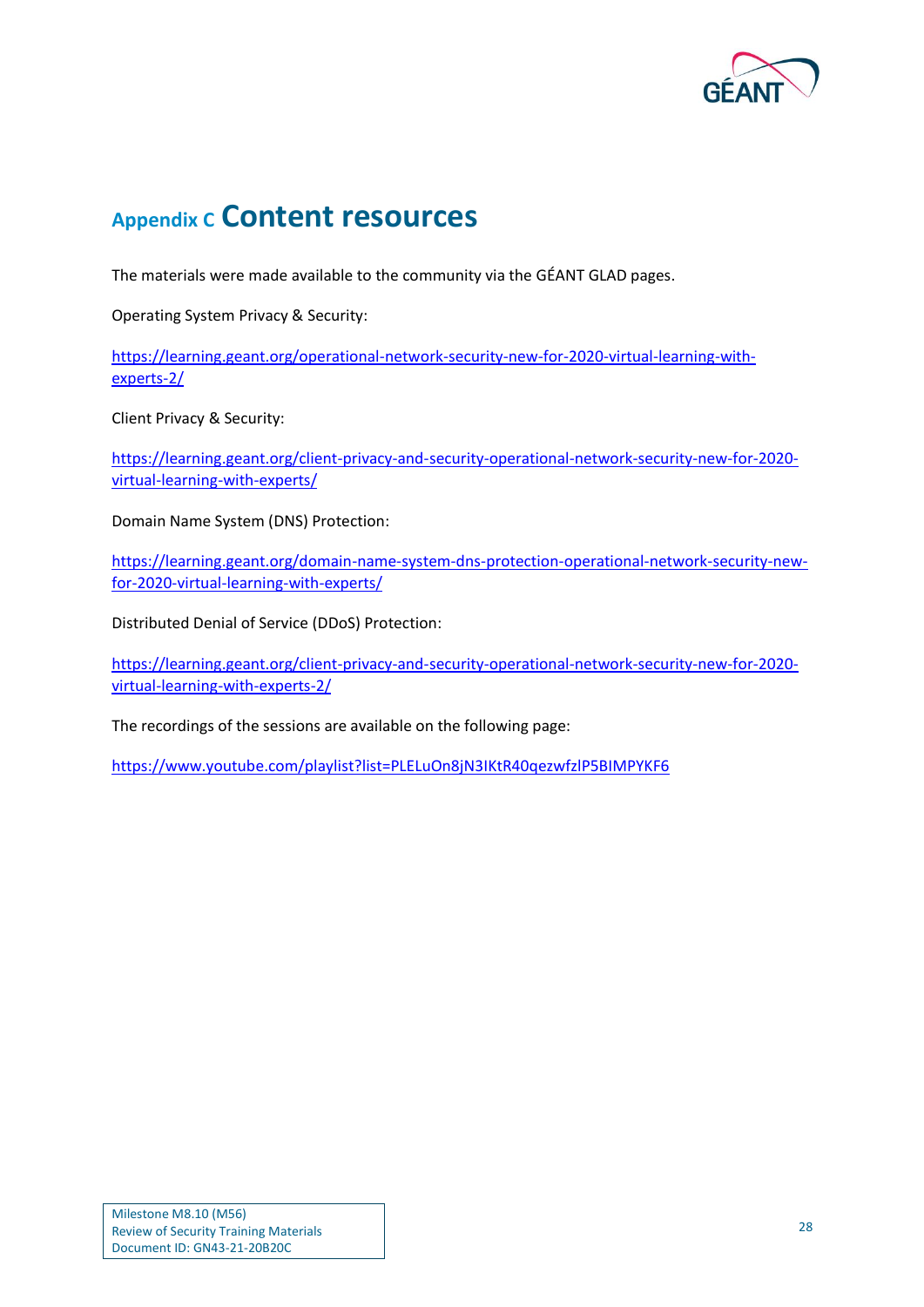

## <span id="page-28-0"></span>**Appendix C Content resources**

The materials were made available to the community via the GÉANT GLAD pages.

Operating System Privacy & Security:

[https://learning.geant.org/operational-network-security-new-for-2020-virtual-learning-with](https://learning.geant.org/operational-network-security-new-for-2020-virtual-learning-with-experts-2/)[experts-2/](https://learning.geant.org/operational-network-security-new-for-2020-virtual-learning-with-experts-2/)

Client Privacy & Security:

[https://learning.geant.org/client-privacy-and-security-operational-network-security-new-for-2020](https://learning.geant.org/client-privacy-and-security-operational-network-security-new-for-2020-virtual-learning-with-experts/) [virtual-learning-with-experts/](https://learning.geant.org/client-privacy-and-security-operational-network-security-new-for-2020-virtual-learning-with-experts/)

Domain Name System (DNS) Protection:

[https://learning.geant.org/domain-name-system-dns-protection-operational-network-security-new](https://learning.geant.org/domain-name-system-dns-protection-operational-network-security-new-for-2020-virtual-learning-with-experts/)[for-2020-virtual-learning-with-experts/](https://learning.geant.org/domain-name-system-dns-protection-operational-network-security-new-for-2020-virtual-learning-with-experts/)

Distributed Denial of Service (DDoS) Protection:

[https://learning.geant.org/client-privacy-and-security-operational-network-security-new-for-2020](https://learning.geant.org/client-privacy-and-security-operational-network-security-new-for-2020-virtual-learning-with-experts-2/) [virtual-learning-with-experts-2/](https://learning.geant.org/client-privacy-and-security-operational-network-security-new-for-2020-virtual-learning-with-experts-2/)

The recordings of the sessions are available on the following page:

<https://www.youtube.com/playlist?list=PLELuOn8jN3IKtR40qezwfzlP5BIMPYKF6>